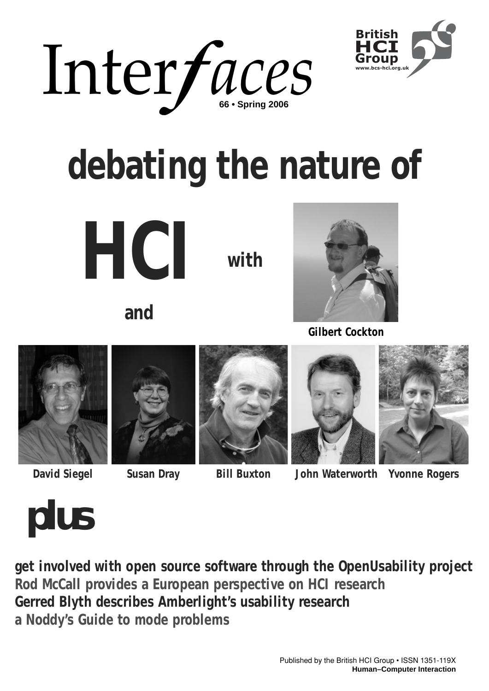



# **debating the nature of**

**HCI**

**with**

**and**



**Gilbert Cockton**











## **David Siegel Susan Dray Bill Buxton John Waterworth Yvonne Rogers**

*plus*

**get involved with open source software through the OpenUsability project Rod McCall provides a European perspective on HCI research Gerred Blyth describes Amberlight's usability research a Noddy's Guide to mode problems**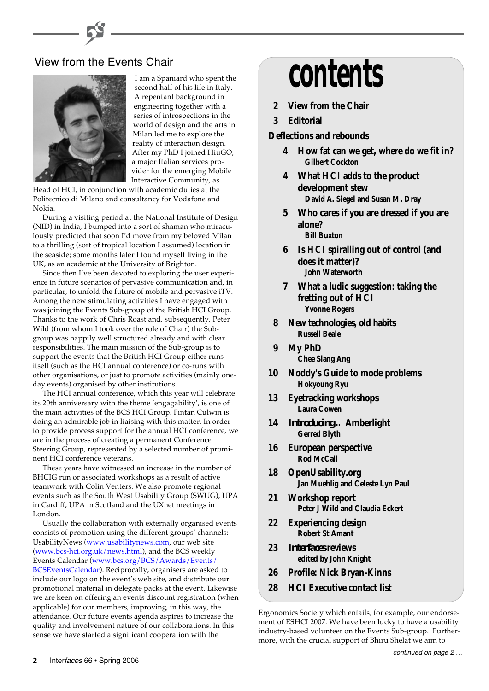

I am a Spaniard who spent the second half of his life in Italy. A repentant background in engineering together with a series of introspections in the world of design and the arts in Milan led me to explore the reality of interaction design. After my PhD I joined HiuGO, a major Italian services provider for the emerging Mobile Interactive Community, as

Head of HCI, in conjunction with academic duties at the Politecnico di Milano and consultancy for Vodafone and Nokia.

During a visiting period at the National Institute of Design (NID) in India, I bumped into a sort of shaman who miraculously predicted that soon I'd move from my beloved Milan to a thrilling (sort of tropical location I assumed) location in the seaside; some months later I found myself living in the UK, as an academic at the University of Brighton.

Since then I've been devoted to exploring the user experience in future scenarios of pervasive communication and, in particular, to unfold the future of mobile and pervasive iTV. Among the new stimulating activities I have engaged with was joining the Events Sub-group of the British HCI Group. Thanks to the work of Chris Roast and, subsequently, Peter Wild (from whom I took over the role of Chair) the Subgroup was happily well structured already and with clear responsibilities. The main mission of the Sub-group is to support the events that the British HCI Group either runs itself (such as the HCI annual conference) or co-runs with other organisations, or just to promote activities (mainly oneday events) organised by other institutions.

The HCI annual conference, which this year will celebrate its 20th anniversary with the theme 'engagability', is one of the main activities of the BCS HCI Group. Fintan Culwin is doing an admirable job in liaising with this matter. In order to provide process support for the annual HCI conference, we are in the process of creating a permanent Conference Steering Group, represented by a selected number of prominent HCI conference veterans.

These years have witnessed an increase in the number of BHCIG run or associated workshops as a result of active teamwork with Colin Venters. We also promote regional events such as the South West Usability Group (SWUG), UPA in Cardiff, UPA in Scotland and the UXnet meetings in London.

Usually the collaboration with externally organised events consists of promotion using the different groups' channels: UsabilityNews [\(www.usabilitynews.com](http://www.usabilitynews.com/), our web site [\(www.bcs-hci.org.uk/news.html\)](http://www.bcs-hci.org.uk/news.html), and the BCS weekly Events Calendar (www.bcs.org/BCS/Awards/Events/ [BCSEventsCalendar\). Reciprocally, organisers are asked](http://www.bcs.org/BCS/Awards/Events/ BCSEventsCalendar/) to include our logo on the event's web site, and distribute our promotional material in delegate packs at the event. Likewise we are keen on offering an events discount registration (when applicable) for our members, improving, in this way, the attendance. Our future events agenda aspires to increase the quality and involvement nature of our collaborations. In this sense we have started a significant cooperation with the

# View from the Events Chair<br>Lam a Spaniard who spent the **CONTENTS**

- **2 View from the Chair**
- **3 Editorial**

**Deflections and rebounds**

- **4 How fat can we get, where do we fit in? Gilbert Cockton**
- **4 What HCI adds to the product development stew David A. Siegel and Susan M. Dray**
- **5 Who cares if you are dressed if you are alone? Bill Buxton**
- **6 Is HCI spiralling out of control (and does it matter)? John Waterworth**
- **7 What a ludic suggestion: taking the fretting out of HCI Yvonne Rogers**
- **8 New technologies, old habits Russell Beale**
- **9 My PhD Chee Siang Ang**
- **10 Noddy's Guide to mode problems Hokyoung Ryu**
- **13 Eyetracking workshops Laura Cowen**
- **14** *Introducing***… Amberlight Gerred Blyth**
- **16 European perspective Rod McCall**
- **18 OpenUsability.org Jan Muehlig and Celeste Lyn Paul**
- **21 Workshop report Peter J Wild and Claudia Eckert**
- **22 Experiencing design Robert St Amant**
- **23** *Interfaces* **reviews edited by John Knight**
- **26 Profile: Nick Bryan-Kinns**
- **28 HCI Executive contact list**

Ergonomics Society which entails, for example, our endorsement of ESHCI 2007. We have been lucky to have a usability industry-based volunteer on the Events Sub-group. Furthermore, with the crucial support of Bhiru Shelat we aim to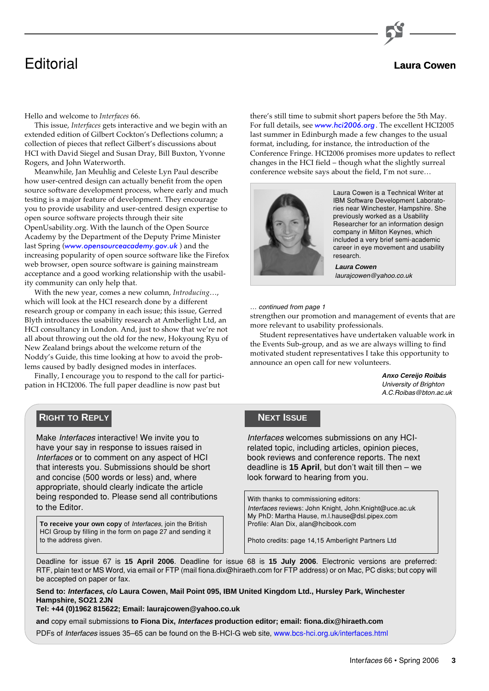

## Editorial **Laura Cowen**

Hello and welcome to *Interfaces* 66.

This issue, *Interfaces* gets interactive and we begin with an extended edition of Gilbert Cockton's Deflections column; a collection of pieces that reflect Gilbert's discussions about HCI with David Siegel and Susan Dray, Bill Buxton, Yvonne Rogers, and John Waterworth.

Meanwhile, Jan Meuhlig and Celeste Lyn Paul describe how user-centred design can actually benefit from the open source software development process, where early and much testing is a major feature of development. They encourage you to provide usability and user-centred design expertise to open source software projects through their site OpenUsability.org. With the launch of the Open Source Academy by the Department of the Deputy Prime Minister last Spring ([www.opensourceacademy.gov.uk](http://www.opensourceacademy.gov.uk/)) and the increasing popularity of open source software like the Firefox web browser, open source software is gaining mainstream acceptance and a good working relationship with the usability community can only help that.

With the new year, comes a new column, *Introducing*…, which will look at the HCI research done by a different research group or company in each issue; this issue, Gerred Blyth introduces the usability research at Amberlight Ltd, an HCI consultancy in London. And, just to show that we're not all about throwing out the old for the new, Hokyoung Ryu of New Zealand brings about the welcome return of the Noddy's Guide, this time looking at how to avoid the problems caused by badly designed modes in interfaces.

Finally, I encourage you to respond to the call for participation in HCI2006. The full paper deadline is now past but

**RIGHT TO REPLY**

Make Interfaces interactive! We invite you to have your say in response to issues raised in Interfaces or to comment on any aspect of HCI that interests you. Submissions should be short and concise (500 words or less) and, where appropriate, should clearly indicate the article being responded to. Please send all contributions to the Editor.

**To receive your own copy** of *Interfaces*, join the British **Profile: Alan Dix, alan@hcibook.com** HCI Group by filling in the form on page 27 and sending it to the address given. Photo credits: page 14,15 Amberlight Partners Ltd

there's still time to submit short papers before the 5th May. For full details, see [www.hci2006.org](http://www.hci2006.org/). The excellent HCI2005 last summer in Edinburgh made a few changes to the usual format, including, for instance, the introduction of the Conference Fringe. HCI2006 promises more updates to reflect changes in the HCI field – though what the slightly surreal conference website says about the field, I'm not sure…



Laura Cowen is a Technical Writer at IBM Software Development Laboratories near Winchester, Hampshire. She previously worked as a Usability Researcher for an information design company in Milton Keynes, which included a very brief semi-academic career in eye movement and usability research.

**Laura Cowen** laurajcowen@yahoo.co.uk

… continued from page 1

strengthen our promotion and management of events that are more relevant to usability professionals.

Student representatives have undertaken valuable work in the Events Sub-group, and as we are always willing to find motivated student representatives I take this opportunity to announce an open call for new volunteers.

> **Anxo Cereijo Roibás** University of Brighton A.C.Roibas@bton.ac.uk

#### **NEXT ISSUE**

Interfaces welcomes submissions on any HCIrelated topic, including articles, opinion pieces, book reviews and conference reports. The next deadline is **15 April**, but don't wait till then – we look forward to hearing from you.

With thanks to commissioning editors: Interfaces reviews: John Knight, John.Knight@uce.ac.uk My PhD: Martha Hause, m.l.hause@dsl.pipex.com

Deadline for issue 67 is **15 April 2006**. Deadline for issue 68 is **15 July 2006**. Electronic versions are preferred: RTF, plain text or MS Word, via email or FTP (mail fiona.dix@hiraeth.com for FTP address) or on Mac, PC disks; but copy will be accepted on paper or fax.

**Send to: Interfaces, c/o Laura Cowen, Mail Point 095, IBM United Kingdom Ltd., Hursley Park, Winchester Hampshire, SO21 2JN**

**Tel: +44 (0)1962 815622; Email: laurajcowen@yahoo.co.uk**

**and** copy email submissions **to Fiona Dix, Interfaces production editor; email: fiona.dix@hiraeth.com**

PDFs of Interfaces issues 35–65 can be found on the B-HCI-G web site[, www.bcs-hci.org.uk/interfaces.html](http://www.bcs-hci.org.uk/interfaces.html)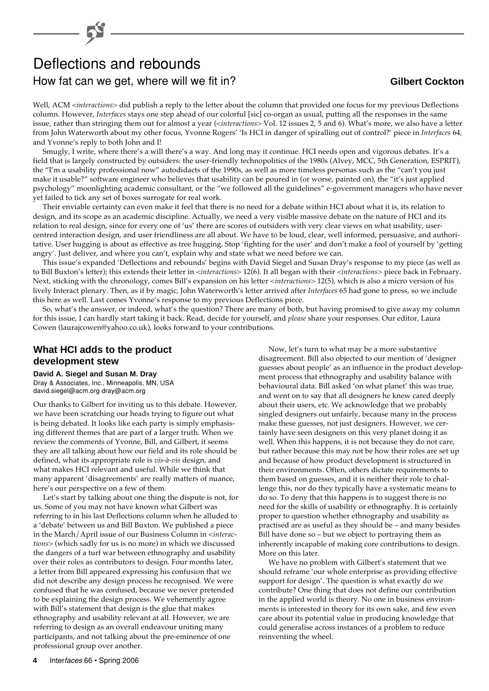## Deflections and rebounds How fat can we get, where will we fit in? **Gilbert Cockton**

Well, ACM <*interactions*> did publish a reply to the letter about the column that provided one focus for my previous Deflections column. However, *Interfaces* stays one step ahead of our colorful [sic] co-organ as usual, putting all the responses in the same issue, rather than stringing them out for almost a year (<*interactions*> Vol. 12 issues 2, 5 and 6). What's more, we also have a letter from John Waterworth about my other focus, Yvonne Rogers' 'Is HCI in danger of spiralling out of control?' piece in *Interfaces* 64, and Yvonne's reply to both John and I!

Smugly, I write, where there's a will there's a way. And long may it continue. HCI needs open and vigorous debates. It's a field that is largely constructed by outsiders: the user-friendly technopolitics of the 1980s (Alvey, MCC, 5th Generation, ESPRIT), the "I'm a usability professional now" autodidacts of the 1990s, as well as more timeless personas such as the "can't you just make it usable?" software engineer who believes that usability can be poured in (or worse, painted on), the "it's just applied psychology" moonlighting academic consultant, or the "we followed all the guidelines" e-government managers who have never yet failed to tick any set of boxes surrogate for real work.

Their enviable certainty can even make it feel that there is no need for a debate within HCI about what it is, its relation to design, and its scope as an academic discipline. Actually, we need a very visible massive debate on the nature of HCI and its relation to real design, since for every one of 'us' there are scores of outsiders with very clear views on what usability, usercentred interaction design, and user friendliness are all about. We have to be loud, clear, well informed, persuasive, and authoritative. User hugging is about as effective as tree hugging. Stop 'fighting for the user' and don't make a fool of yourself by 'getting angry'. Just deliver, and where you can't, explain why and state what we need before we can.

This issue's expanded 'Deflections and rebounds' begins with David Siegel and Susan Dray's response to my piece (as well as to Bill Buxton's letter); this extends their letter in <*interactions*> 12(6). It all began with their <*interactions*> piece back in February. Next, sticking with the chronology, comes Bill's expansion on his letter <*interactions*> 12(5), which is also a micro version of his lively Interact plenary. Then, as if by magic, John Waterworth's letter arrived after *Interfaces* 65 had gone to press, so we include this here as well. Last comes Yvonne's response to my previous Deflections piece.

So, what's the answer, or indeed, what's the question? There are many of both, but having promised to give away my column for this issue, I can hardly start taking it back. Read, decide for yourself, and *please* share your responses. Our editor, Laura Cowen (laurajcowen@yahoo.co.uk), looks forward to your contributions.

#### **What HCI adds to the product development stew**

**David A. Siegel and Susan M. Dray** Dray & Associates, Inc., Minneapolis, MN, USA

david.siegel@acm.org dray@acm.org

Our thanks to Gilbert for inviting us to this debate. However, we have been scratching our heads trying to figure out what is being debated. It looks like each party is simply emphasising different themes that are part of a larger truth. When we review the comments of Yvonne, Bill, and Gilbert, it seems they are all talking about how our field and its role should be defined, what its appropriate role is *vis-à-vis* design, and what makes HCI relevant and useful. While we think that many apparent 'disagreements' are really matters of nuance, here's our perspective on a few of them.

Let's start by talking about one thing the dispute is not, for us. Some of you may not have known what Gilbert was referring to in his last Deflections column when he alluded to a 'debate' between us and Bill Buxton. We published a piece in the March/April issue of our Business Column in <*interactions*> (which sadly for us is no more) in which we discussed the dangers of a turf war between ethnography and usability over their roles as contributors to design. Four months later, a letter from Bill appeared expressing his confusion that we did not describe any design process he recognised. We were confused that he was confused, because we never pretended to be explaining the design process. We vehemently agree with Bill's statement that design is the glue that makes ethnography and usability relevant at all. However, we are referring to design as an overall endeavour uniting many participants, and not talking about the pre-eminence of one professional group over another.

Now, let's turn to what may be a more substantive disagreement. Bill also objected to our mention of 'designer guesses about people' as an influence in the product development process that ethnography and usability balance with behavioural data. Bill asked 'on what planet' this was true, and went on to say that all designers he knew cared deeply about their users, etc. We acknowledge that we probably singled designers out unfairly, because many in the process make these guesses, not just designers. However, we certainly have seen designers on this very planet doing it as well. When this happens, it is not because they do not care, but rather because this may not be how their roles are set up and because of how product development is structured in their environments. Often, others dictate requirements to them based on guesses, and it is neither their role to challenge this, nor do they typically have a systematic means to do so. To deny that this happens is to suggest there is no need for the skills of usability or ethnography. It is certainly proper to question whether ethnography and usability as practised are as useful as they should be – and many besides Bill have done so – but we object to portraying them as inherently incapable of making core contributions to design. More on this later.

We have no problem with Gilbert's statement that we should reframe 'our whole enterprise as providing effective support for design'. The question is what exactly do we contribute? One thing that does not define our contribution in the applied world is theory. No one in business environments is interested in theory for its own sake, and few even care about its potential value in producing knowledge that could generalise across instances of a problem to reduce reinventing the wheel.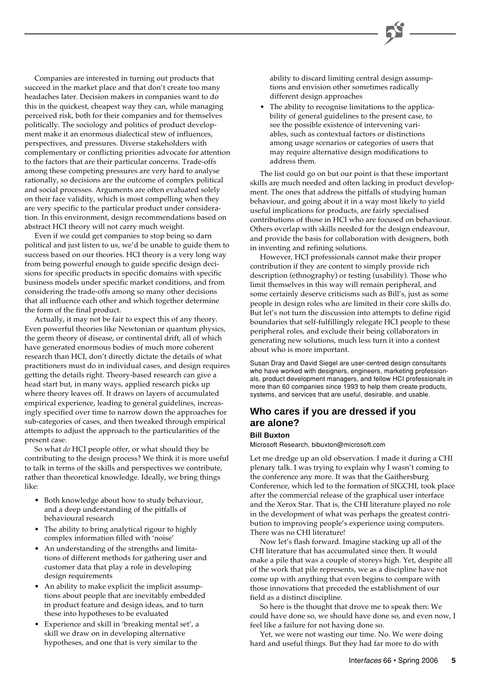Companies are interested in turning out products that succeed in the market place and that don't create too many headaches later. Decision makers in companies want to do this in the quickest, cheapest way they can, while managing perceived risk, both for their companies and for themselves politically. The sociology and politics of product development make it an enormous dialectical stew of influences, perspectives, and pressures. Diverse stakeholders with complementary or conflicting priorities advocate for attention to the factors that are their particular concerns. Trade-offs among these competing pressures are very hard to analyse rationally, so decisions are the outcome of complex political and social processes. Arguments are often evaluated solely on their face validity, which is most compelling when they are very specific to the particular product under consideration. In this environment, design recommendations based on abstract HCI theory will not carry much weight.

Even if we could get companies to stop being so darn political and just listen to us, we'd be unable to guide them to success based on our theories. HCI theory is a very long way from being powerful enough to guide specific design decisions for specific products in specific domains with specific business models under specific market conditions, and from considering the trade-offs among so many other decisions that all influence each other and which together determine the form of the final product.

Actually, it may not be fair to expect this of any theory. Even powerful theories like Newtonian or quantum physics, the germ theory of disease, or continental drift, all of which have generated enormous bodies of much more coherent research than HCI, don't directly dictate the details of what practitioners must do in individual cases, and design requires getting the details right. Theory-based research can give a head start but, in many ways, applied research picks up where theory leaves off. It draws on layers of accumulated empirical experience, leading to general guidelines, increasingly specified over time to narrow down the approaches for sub-categories of cases, and then tweaked through empirical attempts to adjust the approach to the particularities of the present case.

So what *do* HCI people offer, or what should they be contributing to the design process? We think it is more useful to talk in terms of the skills and perspectives we contribute, rather than theoretical knowledge. Ideally, we bring things like:

- Both knowledge about how to study behaviour, and a deep understanding of the pitfalls of behavioural research
- The ability to bring analytical rigour to highly complex information filled with 'noise'
- An understanding of the strengths and limitations of different methods for gathering user and customer data that play a role in developing design requirements
- An ability to make explicit the implicit assumptions about people that are inevitably embedded in product feature and design ideas, and to turn these into hypotheses to be evaluated
- Experience and skill in 'breaking mental set', a skill we draw on in developing alternative hypotheses, and one that is very similar to the

ability to discard limiting central design assumptions and envision other sometimes radically different design approaches

• The ability to recognise limitations to the applicability of general guidelines to the present case, to see the possible existence of intervening variables, such as contextual factors or distinctions among usage scenarios or categories of users that may require alternative design modifications to address them.

The list could go on but our point is that these important skills are much needed and often lacking in product development. The ones that address the pitfalls of studying human behaviour, and going about it in a way most likely to yield useful implications for products, are fairly specialised contributions of those in HCI who are focused on behaviour. Others overlap with skills needed for the design endeavour, and provide the basis for collaboration with designers, both in inventing and refining solutions.

However, HCI professionals cannot make their proper contribution if they are content to simply provide rich description (ethnography) or testing (usability). Those who limit themselves in this way will remain peripheral, and some certainly deserve criticisms such as Bill's, just as some people in design roles who are limited in their core skills do. But let's not turn the discussion into attempts to define rigid boundaries that self-fulfillingly relegate HCI people to these peripheral roles, and exclude their being collaborators in generating new solutions, much less turn it into a contest about who is more important.

Susan Dray and David Siegel are user-centred design consultants who have worked with designers, engineers, marketing professionals, product development managers, and fellow HCI professionals in more than 60 companies since 1993 to help them create products, systems, and services that are useful, desirable, and usable.

#### **Who cares if you are dressed if you are alone?**

#### **Bill Buxton**

Microsoft Research, bibuxton@microsoft.com

Let me dredge up an old observation. I made it during a CHI plenary talk. I was trying to explain why I wasn't coming to the conference any more. It was that the Gaithersburg Conference, which led to the formation of SIGCHI, took place after the commercial release of the graphical user interface and the Xerox Star. That is, the CHI literature played no role in the development of what was perhaps the greatest contribution to improving people's experience using computers. There was no CHI literature!

Now let's flash forward. Imagine stacking up all of the CHI literature that has accumulated since then. It would make a pile that was a couple of storeys high. Yet, despite all of the work that pile represents, we as a discipline have not come up with anything that even begins to compare with those innovations that preceded the establishment of our field as a distinct discipline.

So here is the thought that drove me to speak then: We could have done so, we should have done so, and even now, I feel like a failure for not having done so.

Yet, we were not wasting our time. No. We were doing hard and useful things. But they had far more to do with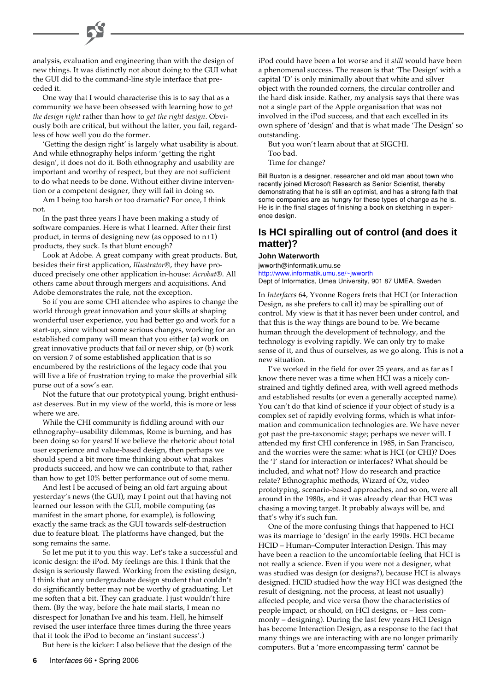analysis, evaluation and engineering than with the design of new things. It was distinctly not about doing to the GUI what the GUI did to the command-line style interface that preceded it.

One way that I would characterise this is to say that as a community we have been obsessed with learning how to *get the design right* rather than how to *get the right design*. Obviously both are critical, but without the latter, you fail, regardless of how well you do the former.

'Getting the design right' is largely what usability is about. And while ethnography helps inform 'getting the right design', it does not do it. Both ethnography and usability are important and worthy of respect, but they are not sufficient to do what needs to be done. Without either divine intervention or a competent designer, they will fail in doing so.

Am I being too harsh or too dramatic? For once, I think not.

In the past three years I have been making a study of software companies. Here is what I learned. After their first product, in terms of designing new (as opposed to n+1) products, they suck. Is that blunt enough?

Look at Adobe. A great company with great products. But, besides their first application, *Illustrator®*, they have produced precisely one other application in-house: *Acrobat®*. All others came about through mergers and acquisitions. And Adobe demonstrates the rule, not the exception.

So if you are some CHI attendee who aspires to change the world through great innovation and your skills at shaping wonderful user experience, you had better go and work for a start-up, since without some serious changes, working for an established company will mean that you either (a) work on great innovative products that fail or never ship, or (b) work on version 7 of some established application that is so encumbered by the restrictions of the legacy code that you will live a life of frustration trying to make the proverbial silk purse out of a sow's ear.

Not the future that our prototypical young, bright enthusiast deserves. But in my view of the world, this is more or less where we are.

While the CHI community is fiddling around with our ethnography–usability dilemmas, Rome is burning, and has been doing so for years! If we believe the rhetoric about total user experience and value-based design, then perhaps we should spend a bit more time thinking about what makes products succeed, and how we can contribute to that, rather than how to get 10% better performance out of some menu.

And lest I be accused of being an old fart arguing about yesterday's news (the GUI), may I point out that having not learned our lesson with the GUI, mobile computing (as manifest in the smart phone, for example), is following exactly the same track as the GUI towards self-destruction due to feature bloat. The platforms have changed, but the song remains the same.

So let me put it to you this way. Let's take a successful and iconic design: the iPod. My feelings are this. I think that the design is seriously flawed. Working from the existing design, I think that any undergraduate design student that couldn't do significantly better may not be worthy of graduating. Let me soften that a bit. They can graduate. I just wouldn't hire them. (By the way, before the hate mail starts, I mean no disrespect for Jonathan Ive and his team. Hell, he himself revised the user interface three times during the three years that it took the iPod to become an 'instant success'.)

But here is the kicker: I also believe that the design of the

iPod could have been a lot worse and it *still* would have been a phenomenal success. The reason is that 'The Design' with a capital 'D' is only minimally about that white and silver object with the rounded corners, the circular controller and the hard disk inside. Rather, my analysis says that there was not a single part of the Apple organisation that was not involved in the iPod success, and that each excelled in its own sphere of 'design' and that is what made 'The Design' so outstanding.

But you won't learn about that at SIGCHI. Too bad.

Time for change?

Bill Buxton is a designer, researcher and old man about town who recently joined Microsoft Research as Senior Scientist, thereby demonstrating that he is still an optimist, and has a strong faith that some companies are as hungry for these types of change as he is. He is in the final stages of finishing a book on sketching in experience design.

### **Is HCI spiralling out of control (and does it matter)?**

**John Waterworth** jwworth@informatik.umu.se [http://www.informatik.umu.se/~jwworth](http://www.informatik.umu.se/~jwworth/) Dept of Informatics, Umea University, 901 87 UMEA, Sweden

In *Interfaces* 64, Yvonne Rogers frets that HCI (or Interaction Design, as she prefers to call it) may be spiralling out of control. My view is that it has never been under control, and that this is the way things are bound to be. We became human through the development of technology, and the technology is evolving rapidly. We can only try to make sense of it, and thus of ourselves, as we go along. This is not a new situation.

I've worked in the field for over 25 years, and as far as I know there never was a time when HCI was a nicely constrained and tightly defined area, with well agreed methods and established results (or even a generally accepted name). You can't do that kind of science if your object of study is a complex set of rapidly evolving forms, which is what information and communication technologies are. We have never got past the pre-taxonomic stage; perhaps we never will. I attended my first CHI conference in 1985, in San Francisco, and the worries were the same: what is HCI (or CHI)? Does the 'I' stand for interaction or interfaces? What should be included, and what not? How do research and practice relate? Ethnographic methods, Wizard of Oz, video prototyping, scenario-based approaches, and so on, were all around in the 1980s, and it was already clear that HCI was chasing a moving target. It probably always will be, and that's why it's such fun.

One of the more confusing things that happened to HCI was its marriage to 'design' in the early 1990s. HCI became HCID – Human–Computer Interaction Design. This may have been a reaction to the uncomfortable feeling that HCI is not really a science. Even if you were not a designer, what was studied was design (or designs?), because HCI is always designed. HCID studied how the way HCI was designed (the result of designing, not the process, at least not usually) affected people, and vice versa (how the characteristics of people impact, or should, on HCI designs, or – less commonly – designing). During the last few years HCI Design has become Interaction Design, as a response to the fact that many things we are interacting with are no longer primarily computers. But a 'more encompassing term' cannot be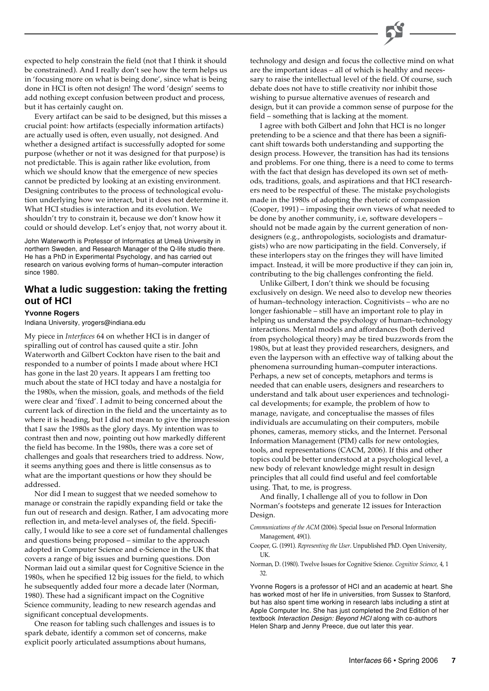expected to help constrain the field (not that I think it should be constrained). And I really don't see how the term helps us in 'focusing more on what is being done', since what is being done in HCI is often not design! The word 'design' seems to add nothing except confusion between product and process, but it has certainly caught on.

Every artifact can be said to be designed, but this misses a crucial point: how artifacts (especially information artifacts) are actually used is often, even usually, not designed. And whether a designed artifact is successfully adopted for some purpose (whether or not it was designed for that purpose) is not predictable. This is again rather like evolution, from which we should know that the emergence of new species cannot be predicted by looking at an existing environment. Designing contributes to the process of technological evolution underlying how we interact, but it does not determine it. What HCI studies is interaction and its evolution. We shouldn't try to constrain it, because we don't know how it could or should develop. Let's enjoy that, not worry about it.

John Waterworth is Professor of Informatics at Umeå University in northern Sweden, and Research Manager of the Q-life studio there. He has a PhD in Experimental Psychology, and has carried out research on various evolving forms of human–computer interaction since 1980.

#### **What a ludic suggestion: taking the fretting out of HCI**

#### **Yvonne Rogers**

Indiana University, yrogers@indiana.edu

My piece in *Interfaces* 64 on whether HCI is in danger of spiralling out of control has caused quite a stir. John Waterworth and Gilbert Cockton have risen to the bait and responded to a number of points I made about where HCI has gone in the last 20 years. It appears I am fretting too much about the state of HCI today and have a nostalgia for the 1980s, when the mission, goals, and methods of the field were clear and 'fixed'. I admit to being concerned about the current lack of direction in the field and the uncertainty as to where it is heading, but I did not mean to give the impression that I saw the 1980s as the glory days. My intention was to contrast then and now, pointing out how markedly different the field has become. In the 1980s, there was a core set of challenges and goals that researchers tried to address. Now, it seems anything goes and there is little consensus as to what are the important questions or how they should be addressed.

Nor did I mean to suggest that we needed somehow to manage or constrain the rapidly expanding field or take the fun out of research and design. Rather, I am advocating more reflection in, and meta-level analyses of, the field. Specifically, I would like to see a core set of fundamental challenges and questions being proposed – similar to the approach adopted in Computer Science and e-Science in the UK that covers a range of big issues and burning questions. Don Norman laid out a similar quest for Cognitive Science in the 1980s, when he specified 12 big issues for the field, to which he subsequently added four more a decade later (Norman, 1980). These had a significant impact on the Cognitive Science community, leading to new research agendas and significant conceptual developments.

One reason for tabling such challenges and issues is to spark debate, identify a common set of concerns, make explicit poorly articulated assumptions about humans,

technology and design and focus the collective mind on what are the important ideas – all of which is healthy and necessary to raise the intellectual level of the field. Of course, such debate does not have to stifle creativity nor inhibit those wishing to pursue alternative avenues of research and design, but it can provide a common sense of purpose for the field – something that is lacking at the moment.

I agree with both Gilbert and John that HCI is no longer pretending to be a science and that there has been a significant shift towards both understanding and supporting the design process. However, the transition has had its tensions and problems. For one thing, there is a need to come to terms with the fact that design has developed its own set of methods, traditions, goals, and aspirations and that HCI researchers need to be respectful of these. The mistake psychologists made in the 1980s of adopting the rhetoric of compassion (Cooper, 1991) – imposing their own views of what needed to be done by another community, i.e, software developers – should not be made again by the current generation of nondesigners (e.g., anthropologists, sociologists and dramaturgists) who are now participating in the field. Conversely, if these interlopers stay on the fringes they will have limited impact. Instead, it will be more productive if they can join in, contributing to the big challenges confronting the field.

Unlike Gilbert, I don't think we should be focusing exclusively on design. We need also to develop new theories of human–technology interaction. Cognitivists – who are no longer fashionable – still have an important role to play in helping us understand the psychology of human–technology interactions. Mental models and affordances (both derived from psychological theory) may be tired buzzwords from the 1980s, but at least they provided researchers, designers, and even the layperson with an effective way of talking about the phenomena surrounding human–computer interactions. Perhaps, a new set of concepts, metaphors and terms is needed that can enable users, designers and researchers to understand and talk about user experiences and technological developments; for example, the problem of how to manage, navigate, and conceptualise the masses of files individuals are accumulating on their computers, mobile phones, cameras, memory sticks, and the Internet. Personal Information Management (PIM) calls for new ontologies, tools, and representations (CACM, 2006). If this and other topics could be better understood at a psychological level, a new body of relevant knowledge might result in design principles that all could find useful and feel comfortable using. That, to me, is progress.

And finally, I challenge all of you to follow in Don Norman's footsteps and generate 12 issues for Interaction Design.

*Communications of the ACM* (2006). Special Issue on Personal Information Management, 49(1).

Cooper, G. (1991). *Representing the User*. Unpublished PhD. Open University, UK.

Norman, D. (1980). Twelve Issues for Cognitive Science. *Cognitive Science*, 4, 1 32.

Yvonne Rogers is a professor of HCI and an academic at heart. She has worked most of her life in universities, from Sussex to Stanford, but has also spent time working in research labs including a stint at Apple Computer Inc. She has just completed the 2nd Edition of her textbook Interaction Design: Beyond HCI along with co-authors Helen Sharp and Jenny Preece, due out later this year.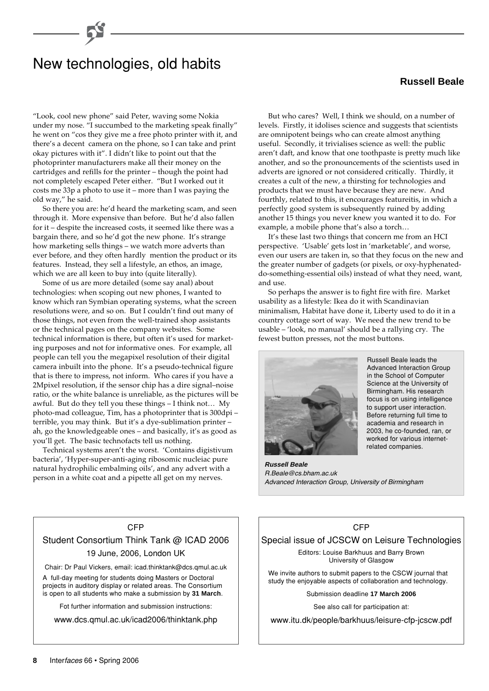## New technologies, old habits

"Look, cool new phone" said Peter, waving some Nokia under my nose. "I succumbed to the marketing speak finally" he went on "cos they give me a free photo printer with it, and there's a decent camera on the phone, so I can take and print okay pictures with it". I didn't like to point out that the photoprinter manufacturers make all their money on the cartridges and refills for the printer – though the point had not completely escaped Peter either. "But I worked out it costs me 33p a photo to use it – more than I was paying the old way," he said.

So there you are: he'd heard the marketing scam, and seen through it. More expensive than before. But he'd also fallen for it – despite the increased costs, it seemed like there was a bargain there, and so he'd got the new phone. It's strange how marketing sells things – we watch more adverts than ever before, and they often hardly mention the product or its features. Instead, they sell a lifestyle, an ethos, an image, which we are all keen to buy into (quite literally).

Some of us are more detailed (some say anal) about technologies: when scoping out new phones, I wanted to know which ran Symbian operating systems, what the screen resolutions were, and so on. But I couldn't find out many of those things, not even from the well-trained shop assistants or the technical pages on the company websites. Some technical information is there, but often it's used for marketing purposes and not for informative ones. For example, all people can tell you the megapixel resolution of their digital camera inbuilt into the phone. It's a pseudo-technical figure that is there to impress, not inform. Who cares if you have a 2Mpixel resolution, if the sensor chip has a dire signal–noise ratio, or the white balance is unreliable, as the pictures will be awful. But do they tell you these things – I think not… My photo-mad colleague, Tim, has a photoprinter that is 300dpi – terrible, you may think. But it's a dye-sublimation printer – ah, go the knowledgeable ones – and basically, it's as good as you'll get. The basic technofacts tell us nothing.

Technical systems aren't the worst. 'Contains digistivum bacteria', 'Hyper-super-anti-aging ribosomic nucleiac pure natural hydrophilic embalming oils', and any advert with a person in a white coat and a pipette all get on my nerves.

CFP Student Consortium Think Tank @ ICAD 2006 19 June, 2006, London UK Chair: Dr Paul Vickers, email: icad.thinktank@dcs.qmul.ac.uk A full-day meeting for students doing Masters or Doctoral projects in auditory display or related areas. The Consortium is open to all students who make a submission by **31 March**. Fot further information and submission instructions: www.dcs.qmul.ac.uk/icad2006/thinktank.php

#### But who cares? Well, I think we should, on a number of levels. Firstly, it idolises science and suggests that scientists are omnipotent beings who can create almost anything useful. Secondly, it trivialises science as well: the public aren't daft, and know that one toothpaste is pretty much like another, and so the pronouncements of the scientists used in adverts are ignored or not considered critically. Thirdly, it creates a cult of the new, a thirsting for technologies and products that we must have because they are new. And fourthly, related to this, it encourages featureitis, in which a perfectly good system is subsequently ruined by adding another 15 things you never knew you wanted it to do. For example, a mobile phone that's also a torch…

It's these last two things that concern me from an HCI perspective. 'Usable' gets lost in 'marketable', and worse, even our users are taken in, so that they focus on the new and the greater number of gadgets (or pixels, or oxy-hyphenateddo-something-essential oils) instead of what they need, want, and use.

So perhaps the answer is to fight fire with fire. Market usability as a lifestyle: Ikea do it with Scandinavian minimalism, Habitat have done it, Liberty used to do it in a country cottage sort of way. We need the new trend to be usable – 'look, no manual' should be a rallying cry. The fewest button presses, not the most buttons.



Russell Beale leads the Advanced Interaction Group in the School of Computer Science at the University of Birmingham. His research focus is on using intelligence to support user interaction. Before returning full time to academia and research in 2003, he co-founded, ran, or worked for various internetrelated companies.

**Russell Beale** R.Beale@cs.bham.ac.uk Advanced Interaction Group, University of Birmingham

#### CFP

#### Special issue of JCSCW on Leisure Technologies

Editors: Louise Barkhuus and Barry Brown University of Glasgow

We invite authors to submit papers to the CSCW journal that study the enjoyable aspects of collaboration and technology.

Submission deadline **17 March 2006**

See also call for participation at:

www.itu.dk/people/barkhuus/leisure-cfp-jcscw.pdf

## **Russell Beale**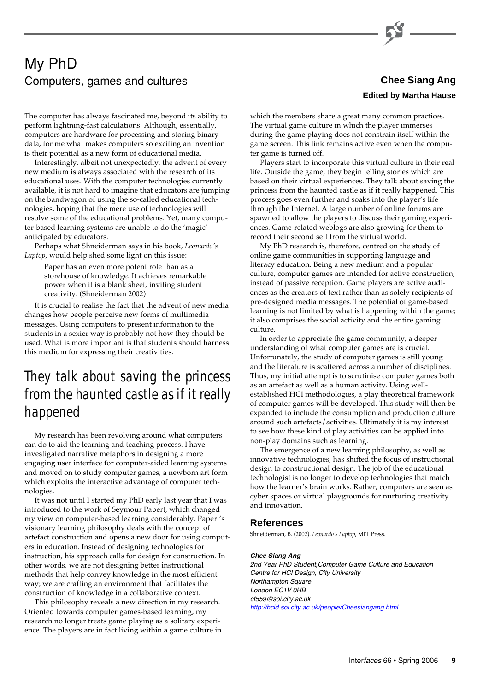## My PhD Computers, games and cultures **Computers**, games and cultures

The computer has always fascinated me, beyond its ability to perform lightning-fast calculations. Although, essentially, computers are hardware for processing and storing binary data, for me what makes computers so exciting an invention is their potential as a new form of educational media.

Interestingly, albeit not unexpectedly, the advent of every new medium is always associated with the research of its educational uses. With the computer technologies currently available, it is not hard to imagine that educators are jumping on the bandwagon of using the so-called educational technologies, hoping that the mere use of technologies will resolve some of the educational problems. Yet, many computer-based learning systems are unable to do the 'magic' anticipated by educators.

Perhaps what Shneiderman says in his book, *Leonardo's Laptop*, would help shed some light on this issue:

Paper has an even more potent role than as a storehouse of knowledge. It achieves remarkable power when it is a blank sheet, inviting student creativity. (Shneiderman 2002)

It is crucial to realise the fact that the advent of new media changes how people perceive new forms of multimedia messages. Using computers to present information to the students in a sexier way is probably not how they should be used. What is more important is that students should harness this medium for expressing their creativities.

# *They talk about saving the princess from the haunted castle as if it really happened*

My research has been revolving around what computers can do to aid the learning and teaching process. I have investigated narrative metaphors in designing a more engaging user interface for computer-aided learning systems and moved on to study computer games, a newborn art form which exploits the interactive advantage of computer technologies.

It was not until I started my PhD early last year that I was introduced to the work of Seymour Papert, which changed my view on computer-based learning considerably. Papert's visionary learning philosophy deals with the concept of artefact construction and opens a new door for using computers in education. Instead of designing technologies for instruction, his approach calls for design for construction. In other words, we are not designing better instructional methods that help convey knowledge in the most efficient way; we are crafting an environment that facilitates the construction of knowledge in a collaborative context.

This philosophy reveals a new direction in my research. Oriented towards computer games-based learning, my research no longer treats game playing as a solitary experience. The players are in fact living within a game culture in

# **Edited by Martha Hause**

which the members share a great many common practices. The virtual game culture in which the player immerses during the game playing does not constrain itself within the game screen. This link remains active even when the computer game is turned off.

Players start to incorporate this virtual culture in their real life. Outside the game, they begin telling stories which are based on their virtual experiences. They talk about saving the princess from the haunted castle as if it really happened. This process goes even further and soaks into the player's life through the Internet. A large number of online forums are spawned to allow the players to discuss their gaming experiences. Game-related weblogs are also growing for them to record their second self from the virtual world.

My PhD research is, therefore, centred on the study of online game communities in supporting language and literacy education. Being a new medium and a popular culture, computer games are intended for active construction, instead of passive reception. Game players are active audiences as the creators of text rather than as solely recipients of pre-designed media messages. The potential of game-based learning is not limited by what is happening within the game; it also comprises the social activity and the entire gaming culture.

In order to appreciate the game community, a deeper understanding of what computer games are is crucial. Unfortunately, the study of computer games is still young and the literature is scattered across a number of disciplines. Thus, my initial attempt is to scrutinise computer games both as an artefact as well as a human activity. Using wellestablished HCI methodologies, a play theoretical framework of computer games will be developed. This study will then be expanded to include the consumption and production culture around such artefacts/activities. Ultimately it is my interest to see how these kind of play activities can be applied into non-play domains such as learning.

The emergence of a new learning philosophy, as well as innovative technologies, has shifted the focus of instructional design to constructional design. The job of the educational technologist is no longer to develop technologies that match how the learner's brain works. Rather, computers are seen as cyber spaces or virtual playgrounds for nurturing creativity and innovation.

#### **References**

Shneiderman, B. (2002). *Leonardo's Laptop*, MIT Press.

#### **Chee Siang Ang**

2nd Year PhD Student,Computer Game Culture and Education Centre for HCI Design, City University Northampton Square London EC1V 0HB cf559@soi.city.ac.uk <http://hcid.soi.city.ac.uk/people/Cheesiangang.html>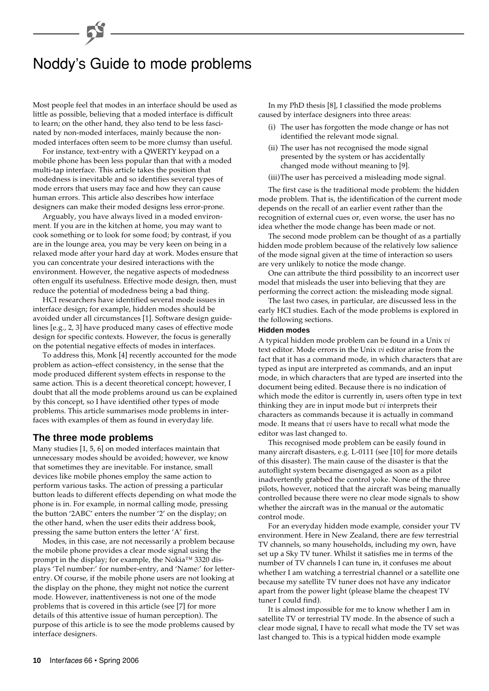# Noddy's Guide to mode problems

Most people feel that modes in an interface should be used as little as possible, believing that a moded interface is difficult to learn; on the other hand, they also tend to be less fascinated by non-moded interfaces, mainly because the nonmoded interfaces often seem to be more clumsy than useful.

For instance, text-entry with a QWERTY keypad on a mobile phone has been less popular than that with a moded multi-tap interface. This article takes the position that modedness is inevitable and so identifies several types of mode errors that users may face and how they can cause human errors. This article also describes how interface designers can make their moded designs less error-prone.

Arguably, you have always lived in a moded environment. If you are in the kitchen at home, you may want to cook something or to look for some food; by contrast, if you are in the lounge area, you may be very keen on being in a relaxed mode after your hard day at work. Modes ensure that you can concentrate your desired interactions with the environment. However, the negative aspects of modedness often engulf its usefulness. Effective mode design, then, must reduce the potential of modedness being a bad thing.

HCI researchers have identified several mode issues in interface design; for example, hidden modes should be avoided under all circumstances [1]. Software design guidelines [e.g., 2, 3] have produced many cases of effective mode design for specific contexts. However, the focus is generally on the potential negative effects of modes in interfaces.

To address this, Monk [4] recently accounted for the mode problem as action–effect consistency, in the sense that the mode produced different system effects in response to the same action. This is a decent theoretical concept; however, I doubt that all the mode problems around us can be explained by this concept, so I have identified other types of mode problems. This article summarises mode problems in interfaces with examples of them as found in everyday life.

#### **The three mode problems**

Many studies [1, 5, 6] on moded interfaces maintain that unnecessary modes should be avoided; however, we know that sometimes they are inevitable. For instance, small devices like mobile phones employ the same action to perform various tasks. The action of pressing a particular button leads to different effects depending on what mode the phone is in. For example, in normal calling mode, pressing the button '2ABC' enters the number '2' on the display; on the other hand, when the user edits their address book, pressing the same button enters the letter 'A' first.

Modes, in this case, are not necessarily a problem because the mobile phone provides a clear mode signal using the prompt in the display; for example, the Nokia™ 3320 displays 'Tel number:' for number-entry, and 'Name:' for letterentry. Of course, if the mobile phone users are not looking at the display on the phone, they might not notice the current mode. However, inattentiveness is not one of the mode problems that is covered in this article (see [7] for more details of this attentive issue of human perception). The purpose of this article is to see the mode problems caused by interface designers.

In my PhD thesis [8], I classified the mode problems caused by interface designers into three areas:

- (i) The user has forgotten the mode change or has not identified the relevant mode signal.
- (ii) The user has not recognised the mode signal presented by the system or has accidentally changed mode without meaning to [9].
- (iii)The user has perceived a misleading mode signal.

The first case is the traditional mode problem: the hidden mode problem. That is, the identification of the current mode depends on the recall of an earlier event rather than the recognition of external cues or, even worse, the user has no idea whether the mode change has been made or not.

The second mode problem can be thought of as a partially hidden mode problem because of the relatively low salience of the mode signal given at the time of interaction so users are very unlikely to notice the mode change.

One can attribute the third possibility to an incorrect user model that misleads the user into believing that they are performing the correct action: the misleading mode signal.

The last two cases, in particular, are discussed less in the early HCI studies. Each of the mode problems is explored in the following sections.

#### **Hidden modes**

A typical hidden mode problem can be found in a Unix *vi* text editor. Mode errors in the Unix *vi* editor arise from the fact that it has a command mode, in which characters that are typed as input are interpreted as commands, and an input mode, in which characters that are typed are inserted into the document being edited. Because there is no indication of which mode the editor is currently in, users often type in text thinking they are in input mode but *vi* interprets their characters as commands because it is actually in command mode. It means that *vi* users have to recall what mode the editor was last changed to.

This recognised mode problem can be easily found in many aircraft disasters, e.g. L-0111 (see [10] for more details of this disaster). The main cause of the disaster is that the autoflight system became disengaged as soon as a pilot inadvertently grabbed the control yoke. None of the three pilots, however, noticed that the aircraft was being manually controlled because there were no clear mode signals to show whether the aircraft was in the manual or the automatic control mode.

For an everyday hidden mode example, consider your TV environment. Here in New Zealand, there are few terrestrial TV channels, so many households, including my own, have set up a Sky TV tuner. Whilst it satisfies me in terms of the number of TV channels I can tune in, it confuses me about whether I am watching a terrestrial channel or a satellite one because my satellite TV tuner does not have any indicator apart from the power light (please blame the cheapest TV tuner I could find).

It is almost impossible for me to know whether I am in satellite TV or terrestrial TV mode. In the absence of such a clear mode signal, I have to recall what mode the TV set was last changed to. This is a typical hidden mode example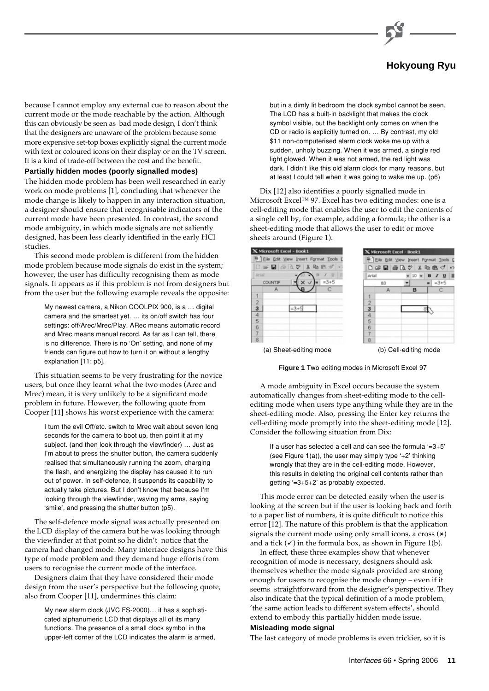

## **Hokyoung Ryu**

because I cannot employ any external cue to reason about the current mode or the mode reachable by the action. Although this can obviously be seen as bad mode design, I don't think that the designers are unaware of the problem because some more expensive set-top boxes explicitly signal the current mode with text or coloured icons on their display or on the TV screen. It is a kind of trade-off between the cost and the benefit.

#### **Partially hidden modes (poorly signalled modes)**

The hidden mode problem has been well researched in early work on mode problems [1], concluding that whenever the mode change is likely to happen in any interaction situation, a designer should ensure that recognisable indicators of the current mode have been presented. In contrast, the second mode ambiguity, in which mode signals are not saliently designed, has been less clearly identified in the early HCI studies.

This second mode problem is different from the hidden mode problem because mode signals do exist in the system; however, the user has difficulty recognising them as mode signals. It appears as if this problem is not from designers but from the user but the following example reveals the opposite:

My newest camera, a Nikon COOLPIX 900, is a … digital camera and the smartest yet. … its on/off switch has four settings: off/Arec/Mrec/Play. ARec means automatic record and Mrec means manual record. As far as I can tell, there is no difference. There is no 'On' setting, and none of my friends can figure out how to turn it on without a lengthy explanation [11: p5].

This situation seems to be very frustrating for the novice users, but once they learnt what the two modes (Arec and Mrec) mean, it is very unlikely to be a significant mode problem in future. However, the following quote from Cooper [11] shows his worst experience with the camera:

I turn the evil Off/etc. switch to Mrec wait about seven long seconds for the camera to boot up, then point it at my subject. (and then look through the viewfinder) … Just as I'm about to press the shutter button, the camera suddenly realised that simultaneously running the zoom, charging the flash, and energizing the display has caused it to run out of power. In self-defence, it suspends its capability to actually take pictures. But I don't know that because I'm looking through the viewfinder, waving my arms, saying 'smile', and pressing the shutter button (p5).

The self-defence mode signal was actually presented on the LCD display of the camera but he was looking through the viewfinder at that point so he didn't notice that the camera had changed mode. Many interface designs have this type of mode problem and they demand huge efforts from users to recognise the current mode of the interface.

Designers claim that they have considered their mode design from the user's perspective but the following quote, also from Cooper [11], undermines this claim:

> My new alarm clock (JVC FS-2000)… it has a sophisticated alphanumeric LCD that displays all of its many functions. The presence of a small clock symbol in the upper-left corner of the LCD indicates the alarm is armed,

but in a dimly lit bedroom the clock symbol cannot be seen. The LCD has a built-in backlight that makes the clock symbol visible, but the backlight only comes on when the CD or radio is explicitly turned on. … By contrast, my old \$11 non-computerised alarm clock woke me up with a sudden, unholy buzzing. When it was armed, a single red light glowed. When it was not armed, the red light was dark. I didn't like this old alarm clock for many reasons, but at least I could tell when it was going to wake me up. (p6)

Dix [12] also identifies a poorly signalled mode in Microsoft Excel™ 97. Excel has two editing modes: one is a cell-editing mode that enables the user to edit the contents of a single cell by, for example, adding a formula; the other is a sheet-editing mode that allows the user to edit or move sheets around (Figure 1).



**Figure 1** Two editing modes in Microsoft Excel 97

A mode ambiguity in Excel occurs because the system automatically changes from sheet-editing mode to the cellediting mode when users type anything while they are in the sheet-editing mode. Also, pressing the Enter key returns the cell-editing mode promptly into the sheet-editing mode [12]. Consider the following situation from Dix:

If a user has selected a cell and can see the formula  $=3+5$ (see Figure  $1(a)$ ), the user may simply type '+2' thinking wrongly that they are in the cell-editing mode. However, this results in deleting the original cell contents rather than getting '=3+5+2' as probably expected.

This mode error can be detected easily when the user is looking at the screen but if the user is looking back and forth to a paper list of numbers, it is quite difficult to notice this error [12]. The nature of this problem is that the application signals the current mode using only small icons, a cross  $(\star)$ and a tick  $(\checkmark)$  in the formula box, as shown in Figure 1(b).

In effect, these three examples show that whenever recognition of mode is necessary, designers should ask themselves whether the mode signals provided are strong enough for users to recognise the mode change – even if it seems straightforward from the designer's perspective. They also indicate that the typical definition of a mode problem, 'the same action leads to different system effects', should extend to embody this partially hidden mode issue.

#### **Misleading mode signal**

The last category of mode problems is even trickier, so it is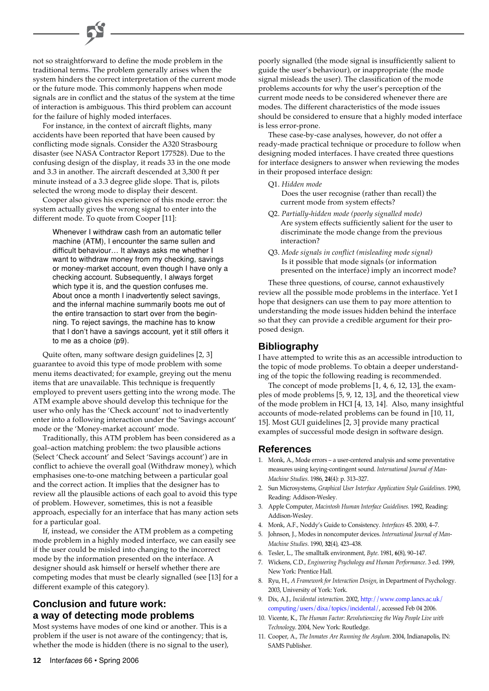not so straightforward to define the mode problem in the traditional terms. The problem generally arises when the system hinders the correct interpretation of the current mode or the future mode. This commonly happens when mode signals are in conflict and the status of the system at the time of interaction is ambiguous. This third problem can account for the failure of highly moded interfaces.

For instance, in the context of aircraft flights, many accidents have been reported that have been caused by conflicting mode signals. Consider the A320 Strasbourg disaster (see NASA Contractor Report 177528). Due to the confusing design of the display, it reads 33 in the one mode and 3.3 in another. The aircraft descended at 3,300 ft per minute instead of a 3.3 degree glide slope. That is, pilots selected the wrong mode to display their descent.

Cooper also gives his experience of this mode error: the system actually gives the wrong signal to enter into the different mode. To quote from Cooper [11]:

> Whenever I withdraw cash from an automatic teller machine (ATM), I encounter the same sullen and difficult behaviour… It always asks me whether I want to withdraw money from my checking, savings or money-market account, even though I have only a checking account. Subsequently, I always forget which type it is, and the question confuses me. About once a month I inadvertently select savings, and the infernal machine summarily boots me out of the entire transaction to start over from the beginning. To reject savings, the machine has to know that I don't have a savings account, yet it still offers it to me as a choice (p9).

Quite often, many software design guidelines [2, 3] guarantee to avoid this type of mode problem with some menu items deactivated; for example, greying out the menu items that are unavailable. This technique is frequently employed to prevent users getting into the wrong mode. The ATM example above should develop this technique for the user who only has the 'Check account' not to inadvertently enter into a following interaction under the 'Savings account' mode or the 'Money-market account' mode.

Traditionally, this ATM problem has been considered as a goal–action matching problem: the two plausible actions (Select 'Check account' and Select 'Savings account') are in conflict to achieve the overall goal (Withdraw money), which emphasises one-to-one matching between a particular goal and the correct action. It implies that the designer has to review all the plausible actions of each goal to avoid this type of problem. However, sometimes, this is not a feasible approach, especially for an interface that has many action sets for a particular goal.

If, instead, we consider the ATM problem as a competing mode problem in a highly moded interface, we can easily see if the user could be misled into changing to the incorrect mode by the information presented on the interface. A designer should ask himself or herself whether there are competing modes that must be clearly signalled (see [13] for a different example of this category).

### **Conclusion and future work: a way of detecting mode problems**

Most systems have modes of one kind or another. This is a problem if the user is not aware of the contingency; that is, whether the mode is hidden (there is no signal to the user), poorly signalled (the mode signal is insufficiently salient to guide the user's behaviour), or inappropriate (the mode signal misleads the user). The classification of the mode problems accounts for why the user's perception of the current mode needs to be considered whenever there are modes. The different characteristics of the mode issues should be considered to ensure that a highly moded interface is less error-prone.

These case-by-case analyses, however, do not offer a ready-made practical technique or procedure to follow when designing moded interfaces. I have created three questions for interface designers to answer when reviewing the modes in their proposed interface design:

- Q1. *Hidden mode* Does the user recognise (rather than recall) the current mode from system effects?
- Q2. *Partially-hidden mode (poorly signalled mode)* Are system effects sufficiently salient for the user to discriminate the mode change from the previous interaction?
- Q3. *Mode signals in conflict (misleading mode signal)* Is it possible that mode signals (or information presented on the interface) imply an incorrect mode?

These three questions, of course, cannot exhaustively review all the possible mode problems in the interface. Yet I hope that designers can use them to pay more attention to understanding the mode issues hidden behind the interface so that they can provide a credible argument for their proposed design.

#### **Bibliography**

I have attempted to write this as an accessible introduction to the topic of mode problems. To obtain a deeper understanding of the topic the following reading is recommended.

The concept of mode problems [1, 4, 6, 12, 13], the examples of mode problems [5, 9, 12, 13], and the theoretical view of the mode problem in HCI [4, 13, 14]. Also, many insightful accounts of mode-related problems can be found in [10, 11, 15]. Most GUI guidelines [2, 3] provide many practical examples of successful mode design in software design.

#### **References**

- 1. Monk, A., Mode errors a user-centered analysis and some preventative measures using keying-contingent sound. *International Journal of Man-Machine Studies*. 1986, **24**(4): p. 313–327.
- 2. Sun Microsystems, *Graphical User Interface Application Style Guidelines*. 1990, Reading: Addison-Wesley.
- 3. Apple Computer, *Macintosh Human Interface Guidelines.* 1992, Reading: Addison-Wesley.
- 4. Monk, A.F., Noddy's Guide to Consistency. *Interfaces* 45. 2000, 4–7.
- 5. Johnson, J., Modes in noncomputer devices. *International Journal of Man-Machine Studies*. 1990, **32**(4), 423–438.
- 6. Tesler, L., The smalltalk environment, *Byte*. 1981, **6**(8), 90–147.
- 7. Wickens, C.D., *Engineering Psychology and Human Performance*. 3 ed. 1999, New York: Prentice Hall.
- 8. Ryu, H., *A Framework for Interaction Design*, in Department of Psychology. 2003, University of York: York.
- 9. Dix, A.J., *Incidental interaction*. 2002, http://www.comp.lancs.ac.uk/ [computing/users/dixa/topics/incidental/, accessed Feb 04 2006.](http://www.comp.lancs.ac.uk/ computing/users/dixa/topics/incidental/)
- 10. Vicente, K., *The Human Factor: Revolutionzing the Way People Live with Technology*. 2004, New York: Routledge.
- 11. Cooper, A., *The Inmates Are Running the Asylum*. 2004, Indianapolis, IN: SAMS Publisher.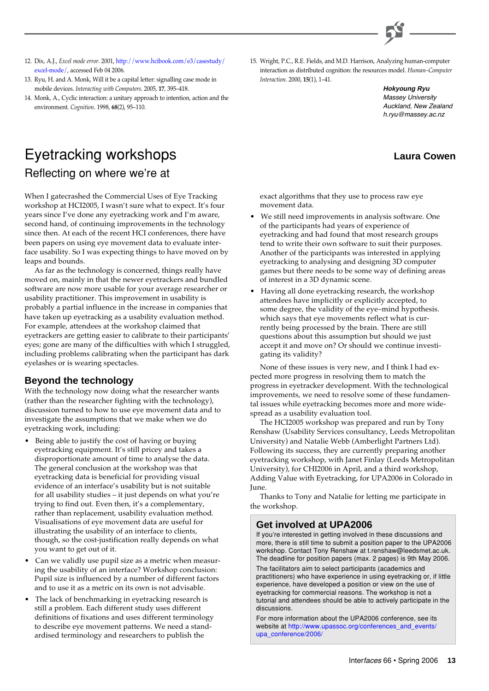

- 12. Dix, A.J., *Excel mode error*[. 2001, http://www.hcibook.com/e3/casestudy/](http://www.hcibook.com/e3/casestudy/ excel-mode/) excel-mode/, accessed Feb 04 2006.
- 13. Ryu, H. and A. Monk, Will it be a capital letter: signalling case mode in mobile devices. *Interacting with Computers*. 2005, **17**, 395–418.
- 14. Monk, A., Cyclic interaction: a unitary approach to intention, action and the environment. *Cognition*. 1998, **68**(2), 95–110.

# Eyetracking workshops Reflecting on where we're at

When I gatecrashed the Commercial Uses of Eye Tracking workshop at HCI2005, I wasn't sure what to expect. It's four years since I've done any eyetracking work and I'm aware, second hand, of continuing improvements in the technology since then. At each of the recent HCI conferences, there have been papers on using eye movement data to evaluate interface usability. So I was expecting things to have moved on by leaps and bounds.

As far as the technology is concerned, things really have moved on, mainly in that the newer eyetrackers and bundled software are now more usable for your average researcher or usability practitioner. This improvement in usability is probably a partial influence in the increase in companies that have taken up eyetracking as a usability evaluation method. For example, attendees at the workshop claimed that eyetrackers are getting easier to calibrate to their participants' eyes; gone are many of the difficulties with which I struggled, including problems calibrating when the participant has dark eyelashes or is wearing spectacles.

#### **Beyond the technology**

With the technology now doing what the researcher wants (rather than the researcher fighting with the technology), discussion turned to how to use eye movement data and to investigate the assumptions that we make when we do eyetracking work, including:

- Being able to justify the cost of having or buying eyetracking equipment. It's still pricey and takes a disproportionate amount of time to analyse the data. The general conclusion at the workshop was that eyetracking data is beneficial for providing visual evidence of an interface's usability but is not suitable for all usability studies – it just depends on what you're trying to find out. Even then, it's a complementary, rather than replacement, usability evaluation method. Visualisations of eye movement data are useful for illustrating the usability of an interface to clients, though, so the cost-justification really depends on what you want to get out of it.
- Can we validly use pupil size as a metric when measuring the usability of an interface? Workshop conclusion: Pupil size is influenced by a number of different factors and to use it as a metric on its own is not advisable.
- The lack of benchmarking in eyetracking research is still a problem. Each different study uses different definitions of fixations and uses different terminology to describe eye movement patterns. We need a standardised terminology and researchers to publish the

15. Wright, P.C., R.E. Fields, and M.D. Harrison, Analyzing human-computer interaction as distributed cognition: the resources model. *Human–Computer Interaction*. 2000, **15**(1), 1–41.

> **Hokyoung Ryu** Massey University Auckland, New Zealand h.ryu@massey.ac.nz

#### **Laura Cowen**

exact algorithms that they use to process raw eye movement data.

- We still need improvements in analysis software. One of the participants had years of experience of eyetracking and had found that most research groups tend to write their own software to suit their purposes. Another of the participants was interested in applying eyetracking to analysing and designing 3D computer games but there needs to be some way of defining areas of interest in a 3D dynamic scene.
- Having all done eyetracking research, the workshop attendees have implicitly or explicitly accepted, to some degree, the validity of the eye–mind hypothesis. which says that eye movements reflect what is currently being processed by the brain. There are still questions about this assumption but should we just accept it and move on? Or should we continue investigating its validity?

None of these issues is very new, and I think I had expected more progress in resolving them to match the progress in eyetracker development. With the technological improvements, we need to resolve some of these fundamental issues while eyetracking becomes more and more widespread as a usability evaluation tool.

The HCI2005 workshop was prepared and run by Tony Renshaw (Usability Services consultancy, Leeds Metropolitan University) and Natalie Webb (Amberlight Partners Ltd). Following its success, they are currently preparing another eyetracking workshop, with Janet Finlay (Leeds Metropolitan University), for CHI2006 in April, and a third workshop, Adding Value with Eyetracking, for UPA2006 in Colorado in June.

Thanks to Tony and Natalie for letting me participate in the workshop.

#### **Get involved at UPA2006**

If you're interested in getting involved in these discussions and more, there is still time to submit a position paper to the UPA2006 workshop. Contact Tony Renshaw at t.renshaw@leedsmet.ac.uk. The deadline for position papers (max. 2 pages) is 9th May 2006.

The facilitators aim to select participants (academics and practitioners) who have experience in using eyetracking or, if little experience, have developed a position or view on the use of eyetracking for commercial reasons. The workshop is not a tutorial and attendees should be able to actively participate in the discussions.

For more information about the UPA2006 conference, see its [website at http://www.upassoc.org/conferences\\_and\\_events/](http://www.upassoc.org/conferences_and_events/ upa_conference/2006/) upa\_conference/2006/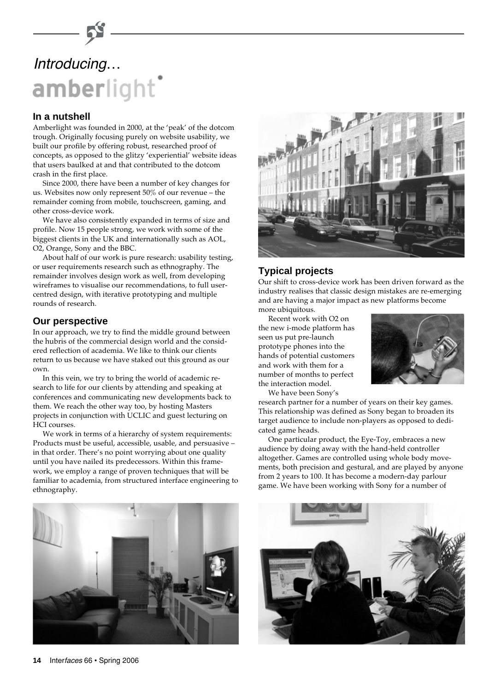# Introducing…amberlight

#### **In a nutshell**

Amberlight was founded in 2000, at the 'peak' of the dotcom trough. Originally focusing purely on website usability, we built our profile by offering robust, researched proof of concepts, as opposed to the glitzy 'experiential' website ideas that users baulked at and that contributed to the dotcom crash in the first place.

Since 2000, there have been a number of key changes for us. Websites now only represent 50% of our revenue – the remainder coming from mobile, touchscreen, gaming, and other cross-device work.

We have also consistently expanded in terms of size and profile. Now 15 people strong, we work with some of the biggest clients in the UK and internationally such as AOL, O2, Orange, Sony and the BBC.

About half of our work is pure research: usability testing, or user requirements research such as ethnography. The remainder involves design work as well, from developing wireframes to visualise our recommendations, to full usercentred design, with iterative prototyping and multiple rounds of research.

#### **Our perspective**

In our approach, we try to find the middle ground between the hubris of the commercial design world and the considered reflection of academia. We like to think our clients return to us because we have staked out this ground as our own.

In this vein, we try to bring the world of academic research to life for our clients by attending and speaking at conferences and communicating new developments back to them. We reach the other way too, by hosting Masters projects in conjunction with UCLIC and guest lecturing on HCI courses.

We work in terms of a hierarchy of system requirements: Products must be useful, accessible, usable, and persuasive – in that order. There's no point worrying about one quality until you have nailed its predecessors. Within this framework, we employ a range of proven techniques that will be familiar to academia, from structured interface engineering to ethnography.



#### **Typical projects**

Our shift to cross-device work has been driven forward as the industry realises that classic design mistakes are re-emerging and are having a major impact as new platforms become more ubiquitous.

Recent work with O2 on the new i-mode platform has seen us put pre-launch prototype phones into the hands of potential customers and work with them for a number of months to perfect the interaction model.



We have been Sony's

research partner for a number of years on their key games. This relationship was defined as Sony began to broaden its target audience to include non-players as opposed to dedicated game heads.

One particular product, the Eye-Toy, embraces a new audience by doing away with the hand-held controller altogether. Games are controlled using whole body movements, both precision and gestural, and are played by anyone from 2 years to 100. It has become a modern-day parlour game. We have been working with Sony for a number of



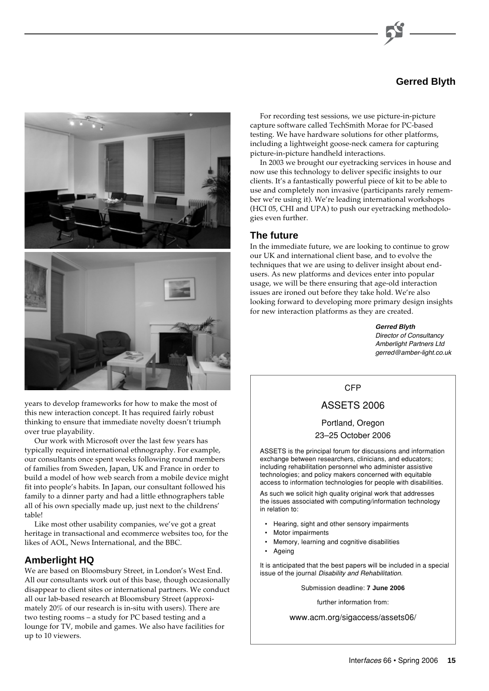### **Gerred Blyth**



years to develop frameworks for how to make the most of this new interaction concept. It has required fairly robust thinking to ensure that immediate novelty doesn't triumph over true playability.

Our work with Microsoft over the last few years has typically required international ethnography. For example, our consultants once spent weeks following round members of families from Sweden, Japan, UK and France in order to build a model of how web search from a mobile device might fit into people's habits. In Japan, our consultant followed his family to a dinner party and had a little ethnographers table all of his own specially made up, just next to the childrens' table!

Like most other usability companies, we've got a great heritage in transactional and ecommerce websites too, for the likes of AOL, News International, and the BBC.

#### **Amberlight HQ**

We are based on Bloomsbury Street, in London's West End. All our consultants work out of this base, though occasionally disappear to client sites or international partners. We conduct all our lab-based research at Bloomsbury Street (approximately 20% of our research is in-situ with users). There are two testing rooms – a study for PC based testing and a lounge for TV, mobile and games. We also have facilities for up to 10 viewers.

For recording test sessions, we use picture-in-picture capture software called TechSmith Morae for PC-based testing. We have hardware solutions for other platforms, including a lightweight goose-neck camera for capturing picture-in-picture handheld interactions.

In 2003 we brought our eyetracking services in house and now use this technology to deliver specific insights to our clients. It's a fantastically powerful piece of kit to be able to use and completely non invasive (participants rarely remember we're using it). We're leading international workshops (HCI 05, CHI and UPA) to push our eyetracking methodologies even further.

#### **The future**

In the immediate future, we are looking to continue to grow our UK and international client base, and to evolve the techniques that we are using to deliver insight about endusers. As new platforms and devices enter into popular usage, we will be there ensuring that age-old interaction issues are ironed out before they take hold. We're also looking forward to developing more primary design insights for new interaction platforms as they are created.

> **Gerred Blyth** Director of Consultancy Amberlight Partners Ltd gerred@amber-light.co.uk

#### CFP

#### ASSETS 2006

Portland, Oregon 23–25 October 2006

ASSETS is the principal forum for discussions and information exchange between researchers, clinicians, and educators; including rehabilitation personnel who administer assistive technologies; and policy makers concerned with equitable access to information technologies for people with disabilities.

As such we solicit high quality original work that addresses the issues associated with computing/information technology in relation to:

- Hearing, sight and other sensory impairments
- Motor impairments
- Memory, learning and cognitive disabilities
- **Ageing**

It is anticipated that the best papers will be included in a special issue of the journal Disability and Rehabilitation.

Submission deadline: **7 June 2006**

further information from:

www.acm.org/sigaccess/assets06/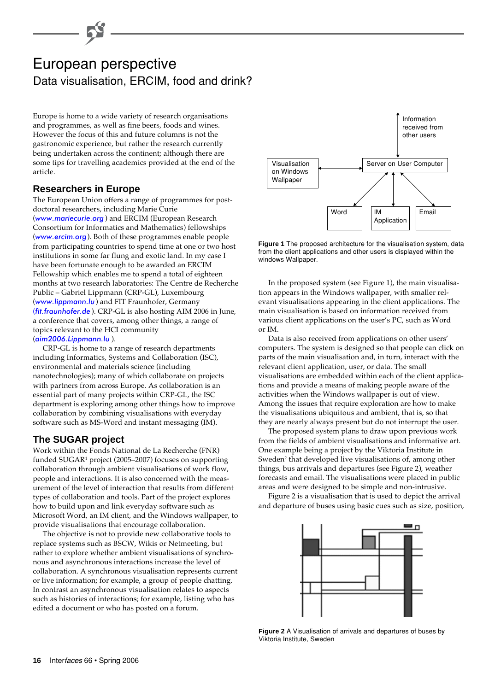# European perspective Data visualisation, ERCIM, food and drink?

Europe is home to a wide variety of research organisations and programmes, as well as fine beers, foods and wines. However the focus of this and future columns is not the gastronomic experience, but rather the research currently being undertaken across the continent; although there are some tips for travelling academics provided at the end of the article.

#### **Researchers in Europe**

The European Union offers a range of programmes for postdoctoral researchers, including Marie Curie ([www.mariecurie.org](http://www.mariecurie.org/) ) and ERCIM (European Research Consortium for Informatics and Mathematics) fellowships ([www.ercim.org](http://www.ercim.org/)). Both of these programmes enable people from participating countries to spend time at one or two host institutions in some far flung and exotic land. In my case I have been fortunate enough to be awarded an ERCIM Fellowship which enables me to spend a total of eighteen months at two research laboratories: The Centre de Recherche Public – Gabriel Lippmann (CRP-GL), Luxembourg ([www.lippmann.lu](http://www.lippmann.lu/)) and FIT Fraunhofer, Germany ([fit.fraunhofer.de](http://fit.fraunhofer.de/) ). CRP-GL is also hosting AIM 2006 in June, a conference that covers, among other things, a range of topics relevant to the HCI community ([aim2006.Lippmann.lu](http://aim2006.Lippmann.lu/) ).

CRP-GL is home to a range of research departments including Informatics, Systems and Collaboration (ISC), environmental and materials science (including nanotechnologies); many of which collaborate on projects with partners from across Europe. As collaboration is an essential part of many projects within CRP-GL, the ISC department is exploring among other things how to improve collaboration by combining visualisations with everyday software such as MS-Word and instant messaging (IM).

### **The SUGAR project**

Work within the Fonds National de La Recherche (FNR) funded SUGAR<sup>1</sup> project (2005–2007) focuses on supporting collaboration through ambient visualisations of work flow, people and interactions. It is also concerned with the measurement of the level of interaction that results from different types of collaboration and tools. Part of the project explores how to build upon and link everyday software such as Microsoft Word, an IM client, and the Windows wallpaper, to provide visualisations that encourage collaboration.

The objective is not to provide new collaborative tools to replace systems such as BSCW, Wikis or Netmeeting, but rather to explore whether ambient visualisations of synchronous and asynchronous interactions increase the level of collaboration. A synchronous visualisation represents current or live information; for example, a group of people chatting. In contrast an asynchronous visualisation relates to aspects such as histories of interactions; for example, listing who has edited a document or who has posted on a forum.



**Figure 1** The proposed architecture for the visualisation system, data from the client applications and other users is displayed within the windows Wallpaper.

In the proposed system (see Figure 1), the main visualisation appears in the Windows wallpaper, with smaller relevant visualisations appearing in the client applications. The main visualisation is based on information received from various client applications on the user's PC, such as Word or IM.

Data is also received from applications on other users' computers. The system is designed so that people can click on parts of the main visualisation and, in turn, interact with the relevant client application, user, or data. The small visualisations are embedded within each of the client applications and provide a means of making people aware of the activities when the Windows wallpaper is out of view. Among the issues that require exploration are how to make the visualisations ubiquitous and ambient, that is, so that they are nearly always present but do not interrupt the user.

The proposed system plans to draw upon previous work from the fields of ambient visualisations and informative art. One example being a project by the Viktoria Institute in Sweden<sup>2</sup> that developed live visualisations of, among other things, bus arrivals and departures (see Figure 2), weather forecasts and email. The visualisations were placed in public areas and were designed to be simple and non-intrusive.

Figure 2 is a visualisation that is used to depict the arrival and departure of buses using basic cues such as size, position,



**Figure 2** A Visualisation of arrivals and departures of buses by Viktoria Institute, Sweden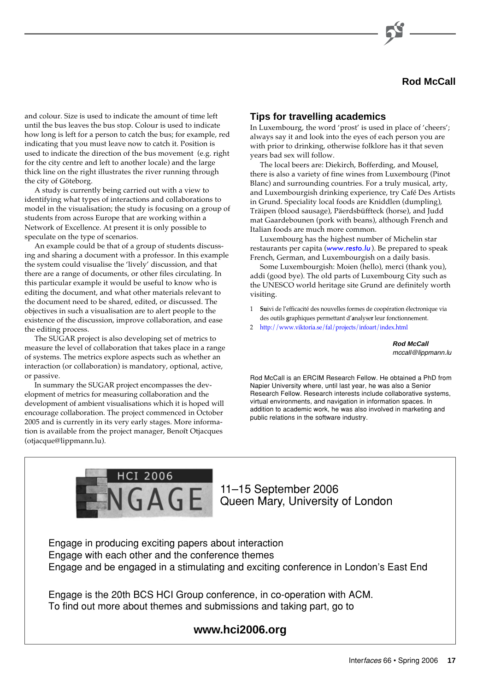

and colour. Size is used to indicate the amount of time left until the bus leaves the bus stop. Colour is used to indicate how long is left for a person to catch the bus; for example, red indicating that you must leave now to catch it. Position is used to indicate the direction of the bus movement (e.g. right for the city centre and left to another locale) and the large thick line on the right illustrates the river running through the city of Göteborg.

A study is currently being carried out with a view to identifying what types of interactions and collaborations to model in the visualisation; the study is focusing on a group of students from across Europe that are working within a Network of Excellence. At present it is only possible to speculate on the type of scenarios.

An example could be that of a group of students discussing and sharing a document with a professor. In this example the system could visualise the 'lively' discussion, and that there are a range of documents, or other files circulating. In this particular example it would be useful to know who is editing the document, and what other materials relevant to the document need to be shared, edited, or discussed. The objectives in such a visualisation are to alert people to the existence of the discussion, improve collaboration, and ease the editing process.

The SUGAR project is also developing set of metrics to measure the level of collaboration that takes place in a range of systems. The metrics explore aspects such as whether an interaction (or collaboration) is mandatory, optional, active, or passive.

In summary the SUGAR project encompasses the development of metrics for measuring collaboration and the development of ambient visualisations which it is hoped will encourage collaboration. The project commenced in October 2005 and is currently in its very early stages. More information is available from the project manager, Benoît Otjacques (otjacque@lippmann.lu).

#### **Tips for travelling academics**

In Luxembourg, the word 'prost' is used in place of 'cheers'; always say it and look into the eyes of each person you are with prior to drinking, otherwise folklore has it that seven years bad sex will follow.

The local beers are: Diekirch, Bofferding, and Mousel, there is also a variety of fine wines from Luxembourg (Pinot Blanc) and surrounding countries. For a truly musical, arty, and Luxembourgish drinking experience, try Café Des Artists in Grund. Speciality local foods are Kniddlen (dumpling), Träipen (blood sausage), Päerdsbüffteck (horse), and Judd mat Gaardebounen (pork with beans), although French and Italian foods are much more common.

Luxembourg has the highest number of Michelin star restaurants per capita ([www.resto.lu](http://www.resto.lu/)). Be prepared to speak French, German, and Luxembourgish on a daily basis.

Some Luxembourgish: Moien (hello), merci (thank you), addi (good bye). The old parts of Luxembourg City such as the UNESCO world heritage site Grund are definitely worth visiting.

- 1 **Su**ivi de l'efficacité des nouvelles formes de coopération électronique via des outils **g**raphiques permettant d'**a**nalyse**r** leur fonctionnement.
- 2 <http://www.viktoria.se/fal/projects/infoart/index.html>

**Rod McCall** mccall@lippmann.lu

Rod McCall is an ERCIM Research Fellow. He obtained a PhD from Napier University where, until last year, he was also a Senior Research Fellow. Research interests include collaborative systems, virtual environments, and navigation in information spaces. In addition to academic work, he was also involved in marketing and public relations in the software industry.



11–15 September 2006 Queen Mary, University of London

Engage in producing exciting papers about interaction Engage with each other and the conference themes Engage and be engaged in a stimulating and exciting conference in London's East End

Engage is the 20th BCS HCI Group conference, in co-operation with ACM. To find out more about themes and submissions and taking part, go to

#### **www.hci2006.org**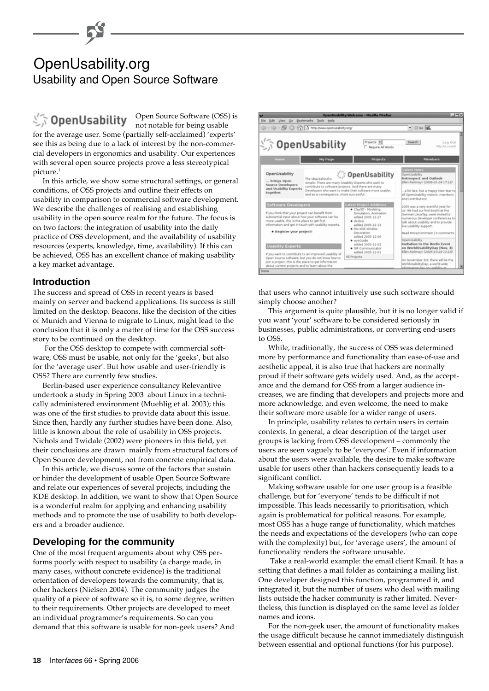# OpenUsability.org Usability and Open Source Software

# SopenUsability

Open Source Software (OSS) is not notable for being usable

for the average user. Some (partially self-acclaimed) 'experts' see this as being due to a lack of interest by the non-commercial developers in ergonomics and usability. Our experiences with several open source projects prove a less stereotypical picture.<sup>1</sup>

In this article, we show some structural settings, or general conditions, of OSS projects and outline their effects on usability in comparison to commercial software development. We describe the challenges of realising and establishing usability in the open source realm for the future. The focus is on two factors: the integration of usability into the daily practice of OSS development, and the availability of usability resources (experts, knowledge, time, availability). If this can be achieved, OSS has an excellent chance of making usability a key market advantage.

#### **Introduction**

The success and spread of OSS in recent years is based mainly on server and backend applications. Its success is still limited on the desktop. Beacons, like the decision of the cities of Munich and Vienna to migrate to Linux, might lead to the conclusion that it is only a matter of time for the OSS success story to be continued on the desktop.

 For the OSS desktop to compete with commercial software, OSS must be usable, not only for the 'geeks', but also for the 'average user'. But how usable and user-friendly is OSS? There are currently few studies.

Berlin-based user experience consultancy Relevantive undertook a study in Spring 2003 about Linux in a technically administered environment (Muehlig et al. 2003); this was one of the first studies to provide data about this issue. Since then, hardly any further studies have been done. Also, little is known about the role of usability in OSS projects. Nichols and Twidale (2002) were pioneers in this field, yet their conclusions are drawn mainly from structural factors of Open Source development, not from concrete empirical data.

In this article, we discuss some of the factors that sustain or hinder the development of usable Open Source Software and relate our experiences of several projects, including the KDE desktop. In addition, we want to show that Open Source is a wonderful realm for applying and enhancing usability methods and to promote the use of usability to both developers and a broader audience.

#### **Developing for the community**

One of the most frequent arguments about why OSS performs poorly with respect to usability (a charge made, in many cases, without concrete evidence) is the traditional orientation of developers towards the community, that is, other hackers (Nielsen 2004). The community judges the quality of a piece of software so it is, to some degree, written to their requirements. Other projects are developed to meet an individual programmer's requirements. So can you demand that this software is usable for non-geek users? And



that users who cannot intuitively use such software should simply choose another?

This argument is quite plausible, but it is no longer valid if you want 'your' software to be considered seriously in businesses, public administrations, or converting end-users to OSS.

While, traditionally, the success of OSS was determined more by performance and functionality than ease-of-use and aesthetic appeal, it is also true that hackers are normally proud if their software gets widely used. And, as the acceptance and the demand for OSS from a larger audience increases, we are finding that developers and projects more and more acknowledge, and even welcome, the need to make their software more usable for a wider range of users.

In principle, usability relates to certain users in certain contexts. In general, a clear description of the target user groups is lacking from OSS development – commonly the users are seen vaguely to be 'everyone'. Even if information about the users were available, the desire to make software usable for users other than hackers consequently leads to a significant conflict.

Making software usable for one user group is a feasible challenge, but for 'everyone' tends to be difficult if not impossible. This leads necessarily to prioritisation, which again is problematical for political reasons. For example, most OSS has a huge range of functionality, which matches the needs and expectations of the developers (who can cope with the complexity) but, for 'average users', the amount of functionality renders the software unusable.

 Take a real-world example: the email client Kmail. It has a setting that defines a mail folder as containing a mailing list. One developer designed this function, programmed it, and integrated it, but the number of users who deal with mailing lists outside the hacker community is rather limited. Nevertheless, this function is displayed on the same level as folder names and icons.

For the non-geek user, the amount of functionality makes the usage difficult because he cannot immediately distinguish between essential and optional functions (for his purpose).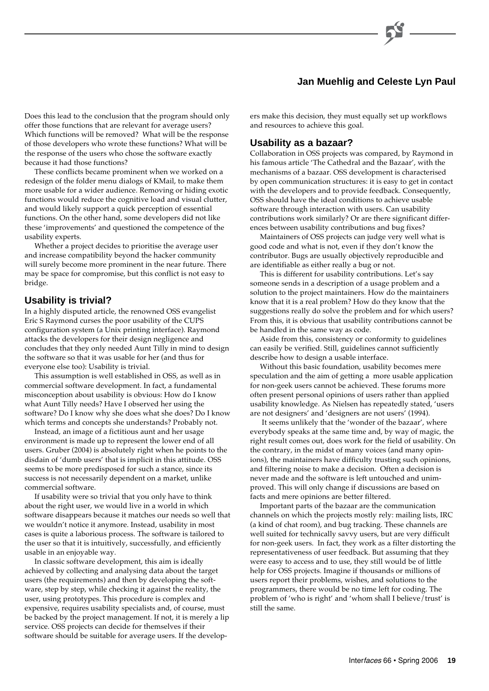#### **Jan Muehlig and Celeste Lyn Paul**

Does this lead to the conclusion that the program should only offer those functions that are relevant for average users? Which functions will be removed? What will be the response of those developers who wrote these functions? What will be the response of the users who chose the software exactly because it had those functions?

These conflicts became prominent when we worked on a redesign of the folder menu dialogs of KMail, to make them more usable for a wider audience. Removing or hiding exotic functions would reduce the cognitive load and visual clutter, and would likely support a quick perception of essential functions. On the other hand, some developers did not like these 'improvements' and questioned the competence of the usability experts.

Whether a project decides to prioritise the average user and increase compatibility beyond the hacker community will surely become more prominent in the near future. There may be space for compromise, but this conflict is not easy to bridge.

#### **Usability is trivial?**

In a highly disputed article, the renowned OSS evangelist Eric S Raymond curses the poor usability of the CUPS configuration system (a Unix printing interface). Raymond attacks the developers for their design negligence and concludes that they only needed Aunt Tilly in mind to design the software so that it was usable for her (and thus for everyone else too): Usability is trivial.

This assumption is well established in OSS, as well as in commercial software development. In fact, a fundamental misconception about usability is obvious: How do I know what Aunt Tilly needs? Have I observed her using the software? Do I know why she does what she does? Do I know which terms and concepts she understands? Probably not.

Instead, an image of a fictitious aunt and her usage environment is made up to represent the lower end of all users. Gruber (2004) is absolutely right when he points to the disdain of 'dumb users' that is implicit in this attitude. OSS seems to be more predisposed for such a stance, since its success is not necessarily dependent on a market, unlike commercial software.

If usability were so trivial that you only have to think about the right user, we would live in a world in which software disappears because it matches our needs so well that we wouldn't notice it anymore. Instead, usability in most cases is quite a laborious process. The software is tailored to the user so that it is intuitively, successfully, and efficiently usable in an enjoyable way.

In classic software development, this aim is ideally achieved by collecting and analysing data about the target users (the requirements) and then by developing the software, step by step, while checking it against the reality, the user, using prototypes. This procedure is complex and expensive, requires usability specialists and, of course, must be backed by the project management. If not, it is merely a lip service. OSS projects can decide for themselves if their software should be suitable for average users. If the developers make this decision, they must equally set up workflows and resources to achieve this goal.

#### **Usability as a bazaar?**

Collaboration in OSS projects was compared, by Raymond in his famous article 'The Cathedral and the Bazaar', with the mechanisms of a bazaar. OSS development is characterised by open communication structures: it is easy to get in contact with the developers and to provide feedback. Consequently, OSS should have the ideal conditions to achieve usable software through interaction with users. Can usability contributions work similarly? Or are there significant differences between usability contributions and bug fixes?

Maintainers of OSS projects can judge very well what is good code and what is not, even if they don't know the contributor. Bugs are usually objectively reproducible and are identifiable as either really a bug or not.

This is different for usability contributions. Let's say someone sends in a description of a usage problem and a solution to the project maintainers. How do the maintainers know that it is a real problem? How do they know that the suggestions really do solve the problem and for which users? From this, it is obvious that usability contributions cannot be be handled in the same way as code.

Aside from this, consistency or conformity to guidelines can easily be verified. Still, guidelines cannot sufficiently describe how to design a usable interface.

Without this basic foundation, usability becomes mere speculation and the aim of getting a more usable application for non-geek users cannot be achieved. These forums more often present personal opinions of users rather than applied usability knowledge. As Nielsen has repeatedly stated, 'users are not designers' and 'designers are not users' (1994).

 It seems unlikely that the 'wonder of the bazaar', where everybody speaks at the same time and, by way of magic, the right result comes out, does work for the field of usability. On the contrary, in the midst of many voices (and many opinions), the maintainers have difficulty trusting such opinions, and filtering noise to make a decision. Often a decision is never made and the software is left untouched and unimproved. This will only change if discussions are based on facts and mere opinions are better filtered.

Important parts of the bazaar are the communication channels on which the projects mostly rely: mailing lists, IRC (a kind of chat room), and bug tracking. These channels are well suited for technically savvy users, but are very difficult for non-geek users. In fact, they work as a filter distorting the representativeness of user feedback. But assuming that they were easy to access and to use, they still would be of little help for OSS projects. Imagine if thousands or millions of users report their problems, wishes, and solutions to the programmers, there would be no time left for coding. The problem of 'who is right' and 'whom shall I believe/trust' is still the same.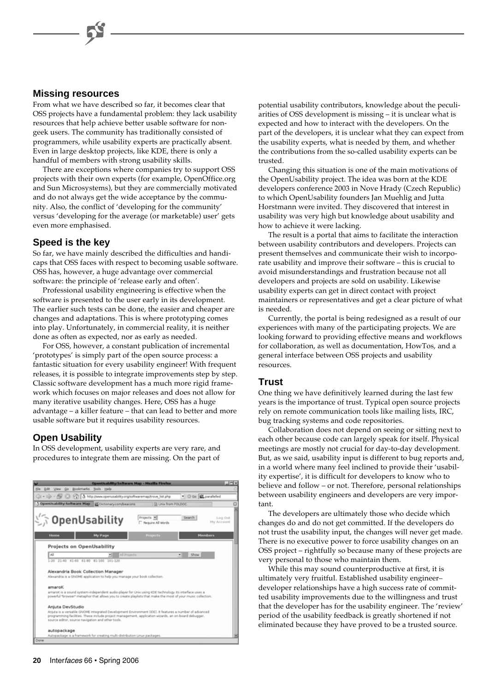#### **Missing resources**

From what we have described so far, it becomes clear that OSS projects have a fundamental problem: they lack usability resources that help achieve better usable software for nongeek users. The community has traditionally consisted of programmers, while usability experts are practically absent. Even in large desktop projects, like KDE, there is only a handful of members with strong usability skills.

There are exceptions where companies try to support OSS projects with their own experts (for example, OpenOffice.org and Sun Microsystems), but they are commercially motivated and do not always get the wide acceptance by the community. Also, the conflict of 'developing for the community' versus 'developing for the average (or marketable) user' gets even more emphasised.

#### **Speed is the key**

So far, we have mainly described the difficulties and handicaps that OSS faces with respect to becoming usable software. OSS has, however, a huge advantage over commercial software: the principle of 'release early and often'.

Professional usability engineering is effective when the software is presented to the user early in its development. The earlier such tests can be done, the easier and cheaper are changes and adaptations. This is where prototyping comes into play. Unfortunately, in commercial reality, it is neither done as often as expected, nor as early as needed.

For OSS, however, a constant publication of incremental 'prototypes' is simply part of the open source process: a fantastic situation for every usability engineer! With frequent releases, it is possible to integrate improvements step by step. Classic software development has a much more rigid framework which focuses on major releases and does not allow for many iterative usability changes. Here, OSS has a huge advantage – a killer feature – that can lead to better and more usable software but it requires usability resources.

#### **Open Usability**

In OSS development, usability experts are very rare, and procedures to integrate them are missing. On the part of



potential usability contributors, knowledge about the peculiarities of OSS development is missing – it is unclear what is expected and how to interact with the developers. On the part of the developers, it is unclear what they can expect from the usability experts, what is needed by them, and whether the contributions from the so-called usability experts can be trusted.

Changing this situation is one of the main motivations of the OpenUsability project. The idea was born at the KDE developers conference 2003 in Nove Hrady (Czech Republic) to which OpenUsability founders Jan Muehlig and Jutta Horstmann were invited. They discovered that interest in usability was very high but knowledge about usability and how to achieve it were lacking.

The result is a portal that aims to facilitate the interaction between usability contributors and developers. Projects can present themselves and communicate their wish to incorporate usability and improve their software – this is crucial to avoid misunderstandings and frustration because not all developers and projects are sold on usability. Likewise usability experts can get in direct contact with project maintainers or representatives and get a clear picture of what is needed.

Currently, the portal is being redesigned as a result of our experiences with many of the participating projects. We are looking forward to providing effective means and workflows for collaboration, as well as documentation, HowTos, and a general interface between OSS projects and usability resources.

#### **Trust**

One thing we have definitively learned during the last few years is the importance of trust. Typical open source projects rely on remote communication tools like mailing lists, IRC, bug tracking systems and code repositories.

Collaboration does not depend on seeing or sitting next to each other because code can largely speak for itself. Physical meetings are mostly not crucial for day-to-day development. But, as we said, usability input is different to bug reports and, in a world where many feel inclined to provide their 'usability expertise', it is difficult for developers to know who to believe and follow – or not. Therefore, personal relationships between usability engineers and developers are very important.

The developers are ultimately those who decide which changes do and do not get committed. If the developers do not trust the usability input, the changes will never get made. There is no executive power to force usability changes on an OSS project – rightfully so because many of these projects are very personal to those who maintain them.

While this may sound counterproductive at first, it is ultimately very fruitful. Established usability engineer– developer relationships have a high success rate of committed usability improvements due to the willingness and trust that the developer has for the usability engineer. The 'review' period of the usability feedback is greatly shortened if not eliminated because they have proved to be a trusted source.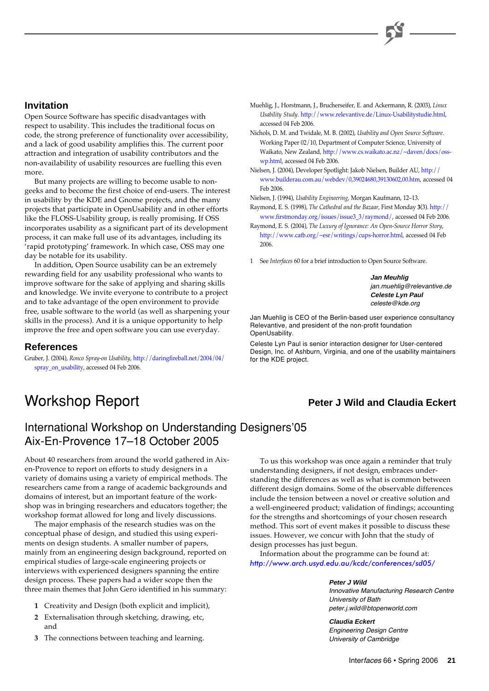#### **Invitation**

Open Source Software has specific disadvantages with respect to usability. This includes the traditional focus on code, the strong preference of functionality over accessibility, and a lack of good usability amplifies this. The current poor attraction and integration of usability contributors and the non-availability of usability resources are fuelling this even more.

But many projects are willing to become usable to nongeeks and to become the first choice of end-users. The interest in usability by the KDE and Gnome projects, and the many projects that participate in OpenUsability and in other efforts like the FLOSS-Usability group, is really promising. If OSS incorporates usability as a significant part of its development process, it can make full use of its advantages, including its 'rapid prototyping' framework. In which case, OSS may one day be notable for its usability.

In addition, Open Source usability can be an extremely rewarding field for any usability professional who wants to improve software for the sake of applying and sharing skills and knowledge. We invite everyone to contribute to a project and to take advantage of the open environment to provide free, usable software to the world (as well as sharpening your skills in the process). And it is a unique opportunity to help improve the free and open software you can use everyday.

#### **References**

Gruber, J. (2004), *Ronco Spray-on Usability*, http://daringfireball.net/2004/04/ [spray\\_on\\_usability, accessed 04 Feb 2006.](http://daringfireball.net/2004/04/ spray_on_usability)

- Muehlig, J., Horstmann, J., Brucherseifer, E. and Ackermann, R. (2003), *Linux Usability Study*[. http://www.relevantive.de/Linux-Usabilitystudie.html,](http://www.relevantive.de/Linux-Usabilitystudie.html) accessed 04 Feb 2006.
- Nichols, D. M. and Twidale, M. B. (2002), *Usability and Open Source Software*. Working Paper 02/10, Department of Computer Science, University of [Waikato, New Zealand, http://www.cs.waikato.ac.nz/~daven/docs/oss](http://www.cs.waikato.ac.nz/~daven/docs/osswp. html)wp.html, accessed 04 Feb 2006.
- Nielsen, J. (2004), Developer Spotlight: Jakob Nielsen, Builder AU, http:// www.builderau.com.au/webdev/0,39024680,39130602,00.htm, accessed 04 Feb 2006.

Nielsen, J. (1994), *Usability Engineering*, Morgan Kaufmann, 12–13.

- Raymond, E. S. (1998), *The Cathedral and the Bazaar*, First Monday **3**(3). http:// [www.firstmonday.org/issues/issue3\\_3/raymond/, accessed 04 Feb 2006.](http:// www.firstmonday.org/issues/issue3_3/raymond/)
- Raymond, E. S. (2004), *The Luxury of Ignorance: An Open-Source Horror Story*, [http://www.catb.org/~esr/writings/cups-horror.html,](http://www.catb.org/~esr/writings/cups-horror.html) accessed 04 Feb 2006.
- 1 See *Interfaces* 60 for a brief introduction to Open Source Software.

**Jan Meuhlig** jan.muehlig@relevantive.de **Celeste Lyn Paul** celeste@kde.org

Jan Muehlig is CEO of the Berlin-based user experience consultancy Relevantive, and president of the non-profit foundation OpenUsability.

Celeste Lyn Paul is senior interaction designer for User-centered Design, Inc. of Ashburn, Virginia, and one of the usability maintainers for the KDE project.

## Workshop Report **Peter J Wild and Claudia Eckert**

## International Workshop on Understanding Designers'05 Aix-En-Provence 17–18 October 2005

About 40 researchers from around the world gathered in Aixen-Provence to report on efforts to study designers in a variety of domains using a variety of empirical methods. The researchers came from a range of academic backgrounds and domains of interest, but an important feature of the workshop was in bringing researchers and educators together; the workshop format allowed for long and lively discussions.

The major emphasis of the research studies was on the conceptual phase of design, and studied this using experiments on design students. A smaller number of papers, mainly from an engineering design background, reported on empirical studies of large-scale engineering projects or interviews with experienced designers spanning the entire design process. These papers had a wider scope then the three main themes that John Gero identified in his summary:

- **1** Creativity and Design (both explicit and implicit),
- **2** Externalisation through sketching, drawing, etc, and
- **3** The connections between teaching and learning.

To us this workshop was once again a reminder that truly understanding designers, if not design, embraces understanding the differences as well as what is common between different design domains. Some of the observable differences include the tension between a novel or creative solution and a well-engineered product; validation of findings; accounting for the strengths and shortcomings of your chosen research method. This sort of event makes it possible to discuss these issues. However, we concur with John that the study of design processes has just begun.

Information about the programme can be found at: http://www.arch.usyd.edu.au/kcdc/conferences/sd05/

> **Peter J Wild** Innovative Manufacturing Research Centre University of Bath peter.j.wild@btopenworld.com

**Claudia Eckert** Engineering Design Centre University of Cambridge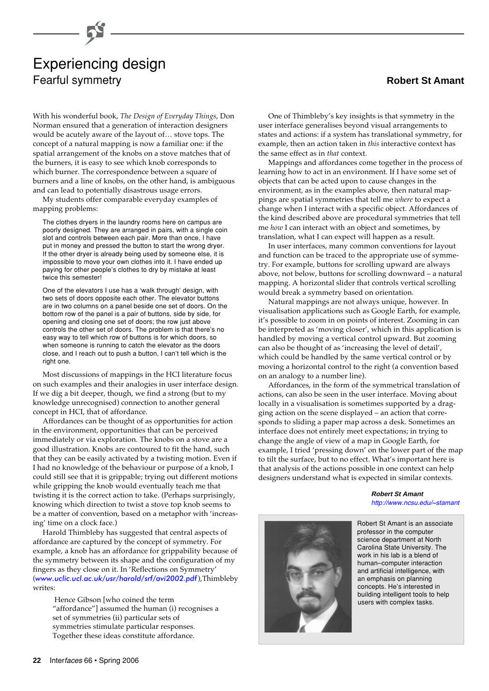# Experiencing design Fearful symmetry

With his wonderful book, *The Design of Everyday Things*, Don Norman ensured that a generation of interaction designers would be acutely aware of the layout of… stove tops. The concept of a natural mapping is now a familiar one: if the spatial arrangement of the knobs on a stove matches that of the burners, it is easy to see which knob corresponds to which burner. The correspondence between a square of burners and a line of knobs, on the other hand, is ambiguous and can lead to potentially disastrous usage errors.

My students offer comparable everyday examples of mapping problems:

The clothes dryers in the laundry rooms here on campus are poorly designed. They are arranged in pairs, with a single coin slot and controls between each pair. More than once, I have put in money and pressed the button to start the wrong dryer. If the other dryer is already being used by someone else, it is impossible to move your own clothes into it. I have ended up paying for other people's clothes to dry by mistake at least twice this semester!

One of the elevators I use has a 'walk through' design, with two sets of doors opposite each other. The elevator buttons are in two columns on a panel beside one set of doors. On the bottom row of the panel is a pair of buttons, side by side, for opening and closing one set of doors; the row just above controls the other set of doors. The problem is that there's no easy way to tell which row of buttons is for which doors, so when someone is running to catch the elevator as the doors close, and I reach out to push a button, I can't tell which is the right one.

Most discussions of mappings in the HCI literature focus on such examples and their analogies in user interface design. If we dig a bit deeper, though, we find a strong (but to my knowledge unrecognised) connection to another general concept in HCI, that of affordance.

Affordances can be thought of as opportunities for action in the environment, opportunities that can be perceived immediately or via exploration. The knobs on a stove are a good illustration. Knobs are contoured to fit the hand, such that they can be easily activated by a twisting motion. Even if I had no knowledge of the behaviour or purpose of a knob, I could still see that it is grippable; trying out different motions while gripping the knob would eventually teach me that twisting it is the correct action to take. (Perhaps surprisingly, knowing which direction to twist a stove top knob seems to be a matter of convention, based on a metaphor with 'increasing' time on a clock face.)

Harold Thimbleby has suggested that central aspects of affordance are captured by the concept of symmetry. For example, a knob has an affordance for grippability because of the symmetry between its shape and the configuration of my fingers as they close on it. In 'Reflections on Symmetry' ([www.uclic.ucl.ac.uk/usr/harold/srf/avi2002.pdf](http://www.uclic.ucl.ac.uk/usr/harold/srf/avi2002.pdf)),Thimbleby writes:

 Hence Gibson [who coined the term "affordance"] assumed the human (i) recognises a set of symmetries (ii) particular sets of symmetries stimulate particular responses. Together these ideas constitute affordance.

#### **Robert St Amant**

One of Thimbleby's key insights is that symmetry in the user interface generalises beyond visual arrangements to states and actions: if a system has translational symmetry, for example, then an action taken in *this* interactive context has the same effect as in *that* context.

Mappings and affordances come together in the process of learning how to act in an environment. If I have some set of objects that can be acted upon to cause changes in the environment, as in the examples above, then natural mappings are spatial symmetries that tell me *where* to expect a change when I interact with a specific object. Affordances of the kind described above are procedural symmetries that tell me *how* I can interact with an object and sometimes, by translation, what I can expect will happen as a result.

In user interfaces, many common conventions for layout and function can be traced to the appropriate use of symmetry. For example, buttons for scrolling upward are always above, not below, buttons for scrolling downward – a natural mapping. A horizontal slider that controls vertical scrolling would break a symmetry based on orientation.

Natural mappings are not always unique, however. In visualisation applications such as Google Earth, for example, it's possible to zoom in on points of interest. Zooming in can be interpreted as 'moving closer', which in this application is handled by moving a vertical control upward. But zooming can also be thought of as 'increasing the level of detail', which could be handled by the same vertical control or by moving a horizontal control to the right (a convention based on an analogy to a number line).

Affordances, in the form of the symmetrical translation of actions, can also be seen in the user interface. Moving about locally in a visualisation is sometimes supported by a dragging action on the scene displayed – an action that corresponds to sliding a paper map across a desk. Sometimes an interface does not entirely meet expectations; in trying to change the angle of view of a map in Google Earth, for example, I tried 'pressing down' on the lower part of the map to tilt the surface, but to no effect. What's important here is that analysis of the actions possible in one context can help designers understand what is expected in similar contexts.

> **Robert St Amant** [http://www.ncsu.edu/~stamant](http://www.ncsu.edu/~stamant/)



Robert St Amant is an associate professor in the computer science department at North Carolina State University. The work in his lab is a blend of human–computer interaction and artificial intelligence, with an emphasis on planning concepts. He's interested in building intelligent tools to help users with complex tasks.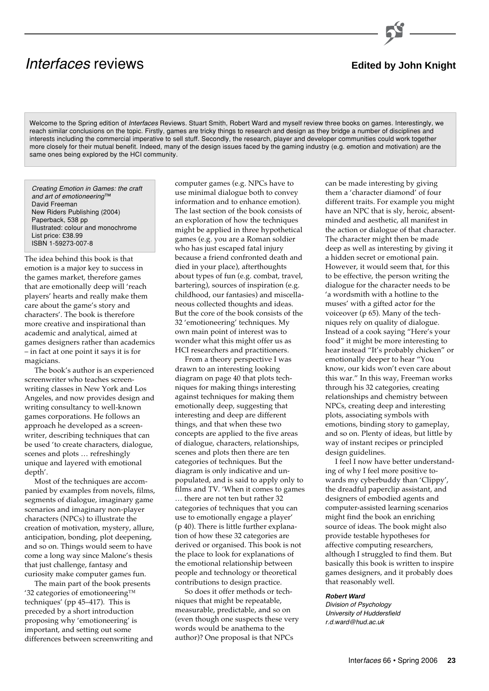## **Interfaces reviews Edited by John Knight**

Welcome to the Spring edition of Interfaces Reviews. Stuart Smith, Robert Ward and myself review three books on games. Interestingly, we reach similar conclusions on the topic. Firstly, games are tricky things to research and design as they bridge a number of disciplines and interests including the commercial imperative to sell stuff. Secondly, the research, player and developer communities could work together more closely for their mutual benefit. Indeed, many of the design issues faced by the gaming industry (e.g. emotion and motivation) are the same ones being explored by the HCI community.

Creating Emotion in Games: the craft and art of emotioneering™ David Freeman New Riders Publishing (2004) Paperback, 538 pp Illustrated: colour and monochrome List price: £38.99 ISBN 1-59273-007-8

The idea behind this book is that emotion is a major key to success in the games market, therefore games that are emotionally deep will 'reach players' hearts and really make them care about the game's story and characters'. The book is therefore more creative and inspirational than academic and analytical, aimed at games designers rather than academics – in fact at one point it says it is for magicians.

The book's author is an experienced screenwriter who teaches screenwriting classes in New York and Los Angeles, and now provides design and writing consultancy to well-known games corporations. He follows an approach he developed as a screenwriter, describing techniques that can be used 'to create characters, dialogue, scenes and plots … refreshingly unique and layered with emotional depth'.

Most of the techniques are accompanied by examples from novels, films, segments of dialogue, imaginary game scenarios and imaginary non-player characters (NPCs) to illustrate the creation of motivation, mystery, allure, anticipation, bonding, plot deepening, and so on. Things would seem to have come a long way since Malone's thesis that just challenge, fantasy and curiosity make computer games fun.

The main part of the book presents '32 categories of emotioneering™ techniques' (pp 45–417). This is preceded by a short introduction proposing why 'emotioneering' is important, and setting out some differences between screenwriting and computer games (e.g. NPCs have to use minimal dialogue both to convey information and to enhance emotion). The last section of the book consists of an exploration of how the techniques might be applied in three hypothetical games (e.g. you are a Roman soldier who has just escaped fatal injury because a friend confronted death and died in your place), afterthoughts about types of fun (e.g. combat, travel, bartering), sources of inspiration (e.g. childhood, our fantasies) and miscellaneous collected thoughts and ideas. But the core of the book consists of the 32 'emotioneering' techniques. My own main point of interest was to wonder what this might offer us as HCI researchers and practitioners.

From a theory perspective I was drawn to an interesting looking diagram on page 40 that plots techniques for making things interesting against techniques for making them emotionally deep, suggesting that interesting and deep are different things, and that when these two concepts are applied to the five areas of dialogue, characters, relationships, scenes and plots then there are ten categories of techniques. But the diagram is only indicative and unpopulated, and is said to apply only to films and TV. 'When it comes to games … there are not ten but rather 32 categories of techniques that you can use to emotionally engage a player' (p 40). There is little further explanation of how these 32 categories are derived or organised. This book is not the place to look for explanations of the emotional relationship between people and technology or theoretical contributions to design practice.

So does it offer methods or techniques that might be repeatable, measurable, predictable, and so on (even though one suspects these very words would be anathema to the author)? One proposal is that NPCs

can be made interesting by giving them a 'character diamond' of four different traits. For example you might have an NPC that is sly, heroic, absentminded and aesthetic, all manifest in the action or dialogue of that character. The character might then be made deep as well as interesting by giving it a hidden secret or emotional pain. However, it would seem that, for this to be effective, the person writing the dialogue for the character needs to be 'a wordsmith with a hotline to the muses' with a gifted actor for the voiceover (p 65). Many of the techniques rely on quality of dialogue. Instead of a cook saying "Here's your food" it might be more interesting to hear instead "It's probably chicken" or emotionally deeper to hear "You know, our kids won't even care about this war." In this way, Freeman works through his 32 categories, creating relationships and chemistry between NPCs, creating deep and interesting plots, associating symbols with emotions, binding story to gameplay, and so on. Plenty of ideas, but little by way of instant recipes or principled design guidelines.

I feel I now have better understanding of why I feel more positive towards my cyberbuddy than 'Clippy', the dreadful paperclip assistant, and designers of embodied agents and computer-assisted learning scenarios might find the book an enriching source of ideas. The book might also provide testable hypotheses for affective computing researchers, although I struggled to find them. But basically this book is written to inspire games designers, and it probably does that reasonably well.

#### **Robert Ward**

Division of Psychology University of Huddersfield r.d.ward@hud.ac.uk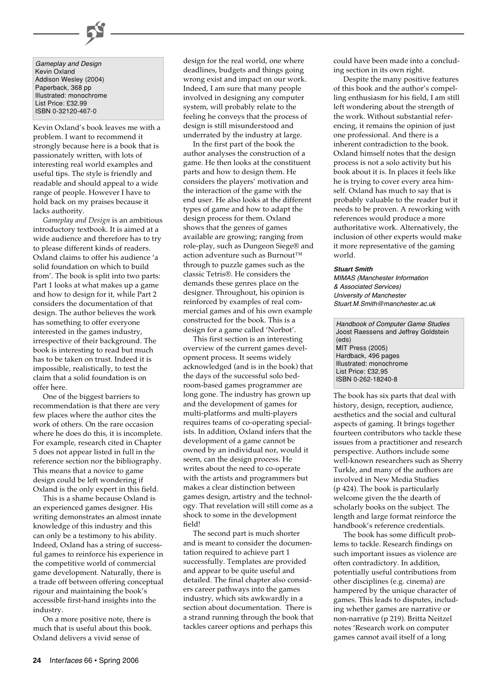Gameplay and Design Kevin Oxland Addison Wesley (2004) Paperback, 368 pp Illustrated: monochrome List Price: £32.99 ISBN 0-32120-467-0

Kevin Oxland's book leaves me with a problem. I want to recommend it strongly because here is a book that is passionately written, with lots of interesting real world examples and useful tips. The style is friendly and readable and should appeal to a wide range of people. However I have to hold back on my praises because it lacks authority.

*Gameplay and Design* is an ambitious introductory textbook. It is aimed at a wide audience and therefore has to try to please different kinds of readers. Oxland claims to offer his audience 'a solid foundation on which to build from'. The book is split into two parts: Part 1 looks at what makes up a game and how to design for it, while Part 2 considers the documentation of that design. The author believes the work has something to offer everyone interested in the games industry, irrespective of their background. The book is interesting to read but much has to be taken on trust. Indeed it is impossible, realistically, to test the claim that a solid foundation is on offer here.

One of the biggest barriers to recommendation is that there are very few places where the author cites the work of others. On the rare occasion where he does do this, it is incomplete. For example, research cited in Chapter 5 does not appear listed in full in the reference section nor the bibliography. This means that a novice to game design could be left wondering if Oxland is the only expert in this field.

This is a shame because Oxland is an experienced games designer. His writing demonstrates an almost innate knowledge of this industry and this can only be a testimony to his ability. Indeed, Oxland has a string of successful games to reinforce his experience in the competitive world of commercial game development. Naturally, there is a trade off between offering conceptual rigour and maintaining the book's accessible first-hand insights into the industry.

On a more positive note, there is much that is useful about this book. Oxland delivers a vivid sense of

design for the real world, one where deadlines, budgets and things going wrong exist and impact on our work. Indeed, I am sure that many people involved in designing any computer system, will probably relate to the feeling he conveys that the process of design is still misunderstood and underrated by the industry at large.

In the first part of the book the author analyses the construction of a game. He then looks at the constituent parts and how to design them. He considers the players' motivation and the interaction of the game with the end user. He also looks at the different types of game and how to adapt the design process for them. Oxland shows that the genres of games available are growing; ranging from role-play, such as Dungeon Siege® and action adventure such as Burnout™ through to puzzle games such as the classic Tetris®. He considers the demands these genres place on the designer. Throughout, his opinion is reinforced by examples of real commercial games and of his own example constructed for the book. This is a design for a game called 'Norbot'.

This first section is an interesting overview of the current games development process. It seems widely acknowledged (and is in the book) that the days of the successful solo bedroom-based games programmer are long gone. The industry has grown up and the development of games for multi-platforms and multi-players requires teams of co-operating specialists. In addition, Oxland infers that the development of a game cannot be owned by an individual nor, would it seem, can the design process. He writes about the need to co-operate with the artists and programmers but makes a clear distinction between games design, artistry and the technology. That revelation will still come as a shock to some in the development field!

The second part is much shorter and is meant to consider the documentation required to achieve part 1 successfully. Templates are provided and appear to be quite useful and detailed. The final chapter also considers career pathways into the games industry, which sits awkwardly in a section about documentation. There is a strand running through the book that tackles career options and perhaps this

could have been made into a concluding section in its own right.

Despite the many positive features of this book and the author's compelling enthusiasm for his field, I am still left wondering about the strength of the work. Without substantial referencing, it remains the opinion of just one professional. And there is a inherent contradiction to the book. Oxland himself notes that the design process is not a solo activity but his book about it is. In places it feels like he is trying to cover every area himself. Oxland has much to say that is probably valuable to the reader but it needs to be proven. A reworking with references would produce a more authoritative work. Alternatively, the inclusion of other experts would make it more representative of the gaming world.

#### **Stuart Smith**

MIMAS (Manchester Information & Associated Services) University of Manchester Stuart.M.Smith@manchester.ac.uk

Handbook of Computer Game Studies Joost Raessens and Jeffrey Goldstein (eds) MIT Press (2005) Hardback, 496 pages Illustrated: monochrome List Price: £32.95 ISBN 0-262-18240-8

The book has six parts that deal with history, design, reception, audience, aesthetics and the social and cultural aspects of gaming. It brings together fourteen contributors who tackle these issues from a practitioner and research perspective. Authors include some well-known researchers such as Sherry Turkle, and many of the authors are involved in New Media Studies (p 424). The book is particularly welcome given the the dearth of scholarly books on the subject. The length and large format reinforce the handbook's reference credentials.

The book has some difficult problems to tackle. Research findings on such important issues as violence are often contradictory. In addition, potentially useful contributions from other disciplines (e.g. cinema) are hampered by the unique character of games. This leads to disputes, including whether games are narrative or non-narrative (p 219). Britta Neitzel notes 'Research work on computer games cannot avail itself of a long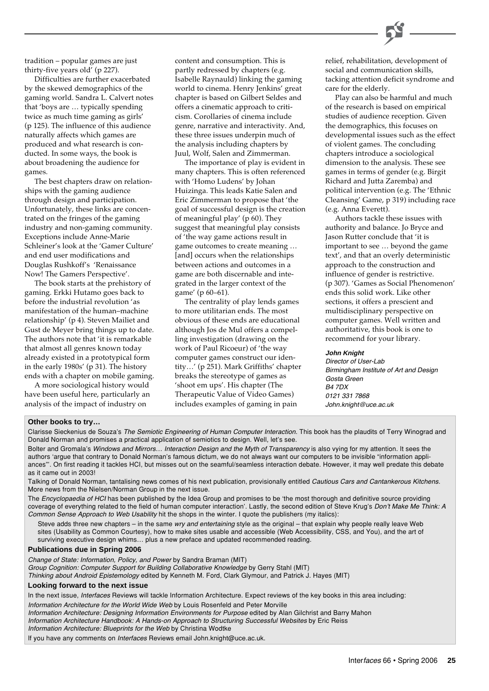

tradition – popular games are just thirty-five years old' (p 227).

Difficulties are further exacerbated by the skewed demographics of the gaming world. Sandra L. Calvert notes that 'boys are … typically spending twice as much time gaming as girls' (p 125). The influence of this audience naturally affects which games are produced and what research is conducted. In some ways, the book is about broadening the audience for games.

The best chapters draw on relationships with the gaming audience through design and participation. Unfortunately, these links are concentrated on the fringes of the gaming industry and non-gaming community. Exceptions include Anne-Marie Schleiner's look at the 'Gamer Culture' and end user modifications and Douglas Rushkoff's 'Renaissance Now! The Gamers Perspective'.

The book starts at the prehistory of gaming. Erkki Hutamo goes back to before the industrial revolution 'as manifestation of the human–machine relationship' (p 4). Steven Mailiet and Gust de Meyer bring things up to date. The authors note that 'it is remarkable that almost all genres known today already existed in a prototypical form in the early 1980s' (p 31). The history ends with a chapter on mobile gaming.

A more sociological history would have been useful here, particularly an analysis of the impact of industry on

content and consumption. This is partly redressed by chapters (e.g. Isabelle Raynauld) linking the gaming world to cinema. Henry Jenkins' great chapter is based on Gilbert Seldes and offers a cinematic approach to criticism. Corollaries of cinema include genre, narrative and interactivity. And, these three issues underpin much of the analysis including chapters by Juul, Wolf, Salen and Zimmerman.

The importance of play is evident in many chapters. This is often referenced with 'Homo Ludens' by Johan Huizinga. This leads Katie Salen and Eric Zimmerman to propose that 'the goal of successful design is the creation of meaningful play' (p 60). They suggest that meaningful play consists of 'the way game actions result in game outcomes to create meaning … [and] occurs when the relationships between actions and outcomes in a game are both discernable and integrated in the larger context of the game' (p 60–61).

The centrality of play lends games to more utilitarian ends. The most obvious of these ends are educational although Jos de Mul offers a compelling investigation (drawing on the work of Paul Ricoeur) of 'the way computer games construct our identity…' (p 251). Mark Griffiths' chapter breaks the stereotype of games as 'shoot em ups'. His chapter (The Therapeutic Value of Video Games) includes examples of gaming in pain

relief, rehabilitation, development of social and communication skills, tacking attention deficit syndrome and care for the elderly.

Play can also be harmful and much of the research is based on empirical studies of audience reception. Given the demographics, this focuses on developmental issues such as the effect of violent games. The concluding chapters introduce a sociological dimension to the analysis. These see games in terms of gender (e.g. Birgit Richard and Jutta Zaremba) and political intervention (e.g. The 'Ethnic Cleansing' Game, p 319) including race (e.g. Anna Everett).

Authors tackle these issues with authority and balance. Jo Bryce and Jason Rutter conclude that 'it is important to see … beyond the game text', and that an overly deterministic approach to the construction and influence of gender is restrictive. (p 307). 'Games as Social Phenomenon' ends this solid work. Like other sections, it offers a prescient and multidisciplinary perspective on computer games. Well written and authoritative, this book is one to recommend for your library.

#### **John Knight**

Director of User-Lab Birmingham Institute of Art and Design Gosta Green **B4 7DX** 0121 331 7868 John.knight@uce.ac.uk

#### **Other books to try…**

Clarisse Sieckenius de Souza's The Semiotic Engineering of Human Computer Interaction. This book has the plaudits of Terry Winograd and Donald Norman and promises a practical application of semiotics to design. Well, let's see.

Bolter and Gromala's Windows and Mirrors... Interaction Design and the Myth of Transparency is also vying for my attention. It sees the authors 'argue that contrary to Donald Norman's famous dictum, we do not always want our computers to be invisible "information appliances"'. On first reading it tackles HCI, but misses out on the seamful/seamless interaction debate. However, it may well predate this debate as it came out in 2003!

Talking of Donald Norman, tantalising news comes of his next publication, provisionally entitled Cautious Cars and Cantankerous Kitchens. More news from the Nielsen/Norman Group in the next issue.

The Encyclopaedia of HCI has been published by the Idea Group and promises to be 'the most thorough and definitive source providing coverage of everything related to the field of human computer interaction'. Lastly, the second edition of Steve Krug's Don't Make Me Think: A Common Sense Approach to Web Usability hit the shops in the winter. I quote the publishers (my italics):

Steve adds three new chapters – in the same wry and entertaining style as the original – that explain why people really leave Web sites (Usability as Common Courtesy), how to make sites usable and accessible (Web Accessibility, CSS, and You), and the art of surviving executive design whims… plus a new preface and updated recommended reading.

#### **Publications due in Spring 2006**

Change of State: Information, Policy, and Power by Sandra Braman (MIT) Group Cognition: Computer Support for Building Collaborative Knowledge by Gerry Stahl (MIT) Thinking about Android Epistemology edited by Kenneth M. Ford, Clark Glymour, and Patrick J. Hayes (MIT)

#### **Looking forward to the next issue**

In the next issue, Interfaces Reviews will tackle Information Architecture. Expect reviews of the key books in this area including: Information Architecture for the World Wide Web by Louis Rosenfeld and Peter Morville Information Architecture: Designing Information Environments for Purpose edited by Alan Gilchrist and Barry Mahon Information Architecture Handbook: A Hands-on Approach to Structuring Successful Websites by Eric Reiss Information Architecture: Blueprints for the Web by Christina Wodtke

If you have any comments on Interfaces Reviews email John.knight@uce.ac.uk.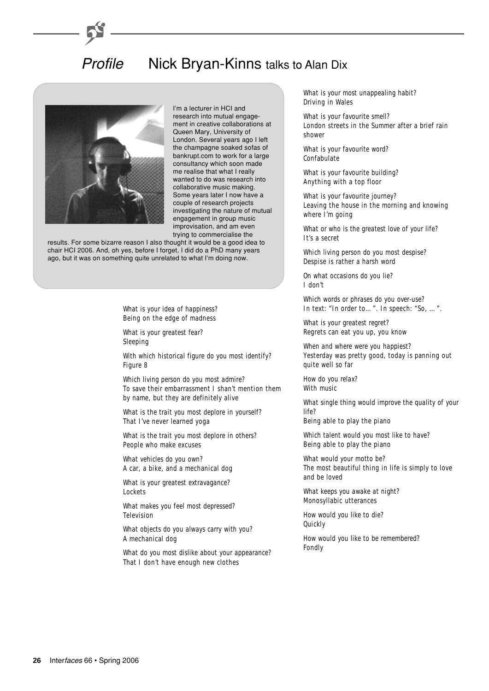## Profile Nick Bryan-Kinns talks to Alan Dix



I'm a lecturer in HCI and research into mutual engagement in creative collaborations at Queen Mary, University of London. Several years ago I left the champagne soaked sofas of bankrupt.com to work for a large consultancy which soon made me realise that what I really wanted to do was research into collaborative music making. Some years later I now have a couple of research projects investigating the nature of mutual engagement in group music improvisation, and am even trying to commercialise the

results. For some bizarre reason I also thought it would be a good idea to chair HCI 2006. And, oh yes, before I forget, I did do a PhD many years ago, but it was on something quite unrelated to what I'm doing now.

> *What is your idea of happiness?* Being on the edge of madness

*What is your greatest fear?* Sleeping

*With which historical figure do you most identify?* Figure 8

*Which living person do you most admire?* To save their embarrassment I shan't mention them by name, but they are definitely alive

*What is the trait you most deplore in yourself?* That I've never learned yoga

*What is the trait you most deplore in others?* People who make excuses

*What vehicles do you own?* A car, a bike, and a mechanical dog

*What is your greatest extravagance?* Lockets

*What makes you feel most depressed?* Television

*What objects do you always carry with you?* A mechanical dog

*What do you most dislike about your appearance?* That I don't have enough new clothes

*What is your most unappealing habit?* Driving in Wales

*What is your favourite smell?* London streets in the Summer after a brief rain shower

*What is your favourite word?* Confabulate

*What is your favourite building?* Anything with a top floor

*What is your favourite journey?* Leaving the house in the morning and knowing where I'm going

*What or who is the greatest love of your life?* It's a secret

*Which living person do you most despise?* Despise is rather a harsh word

*On what occasions do you lie?* I don't

*Which words or phrases do you over-use?* In text: "In order to…". In speech: "So, …".

*What is your greatest regret?* Regrets can eat you up, you know

*When and where were you happiest?* Yesterday was pretty good, today is panning out quite well so far

*How do you relax?* With music

*What single thing would improve the quality of your life?*

Being able to play the piano

*Which talent would you most like to have?* Being able to play the piano

*What would your motto be?* The most beautiful thing in life is simply to love and be loved

*What keeps you awake at night?* Monosyllabic utterances

*How would you like to die?* **Quickly** 

*How would you like to be remembered?* Fondly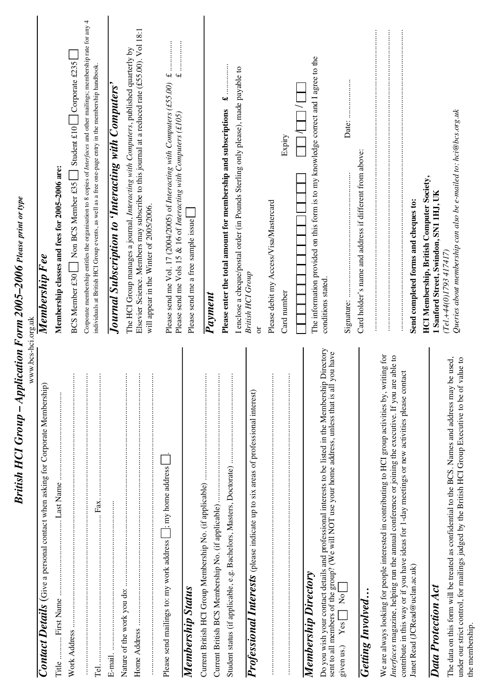| www.bcs-hci.org.uk                                                                                                                                                                                                                                                                                            |                                                                                                                                                                                                                   |
|---------------------------------------------------------------------------------------------------------------------------------------------------------------------------------------------------------------------------------------------------------------------------------------------------------------|-------------------------------------------------------------------------------------------------------------------------------------------------------------------------------------------------------------------|
| <b>Contact Details</b> (Give a personal contact when asking for Corporate Membership)                                                                                                                                                                                                                         | Membership Fee                                                                                                                                                                                                    |
| Title.                                                                                                                                                                                                                                                                                                        | Membership classes and fees for 2005-2006 are:                                                                                                                                                                    |
| $\alpha$ , and a consequence of the consequence of the consequence of the consequence of the consequence of the consequence of the consequence of the consequence of the consequence of the consequence of the consequence of the                                                                             | Corporate membership entitles the organisation to 8 copies of <i>Interfaces</i> and other mailings; membership rate for any 4<br>Student £10 Corporate £235<br>$\Box$ Non BCS Member £35<br><b>BCS Member £30</b> |
|                                                                                                                                                                                                                                                                                                               | individuals at British HCI Group events, as well as a free one-page entry in the membership handbook.                                                                                                             |
|                                                                                                                                                                                                                                                                                                               | Journal Subscription to 'Interacting with Computers'                                                                                                                                                              |
|                                                                                                                                                                                                                                                                                                               | Elsevier Science. Members may subscribe to this journal at a reduced rate (£55.00). Vol 18:1<br>The HCI Group manages a journal, Interacting with Computers, published quarterly by                               |
|                                                                                                                                                                                                                                                                                                               | will appear in the Winter of 2005/2006.                                                                                                                                                                           |
| $\perp$ ; my home address<br>Please send mailings to: my work address                                                                                                                                                                                                                                         | $\overline{f}$<br>Please send me Vols 15 & 16 of Interacting with Computers (£105)                                                                                                                                |
| Membership Status                                                                                                                                                                                                                                                                                             | Please send me a free sample issue                                                                                                                                                                                |
|                                                                                                                                                                                                                                                                                                               |                                                                                                                                                                                                                   |
|                                                                                                                                                                                                                                                                                                               | <b>Payment</b>                                                                                                                                                                                                    |
|                                                                                                                                                                                                                                                                                                               | I enclose a cheque/postal order (in Pounds Sterling only please), made payable to<br>Please enter the total amount for membership and subscriptions                                                               |
| Professional Interests (please indicate up to six areas of professional interest)                                                                                                                                                                                                                             | <b>British HCI Group</b><br>ă                                                                                                                                                                                     |
|                                                                                                                                                                                                                                                                                                               | Please debit my Access/Visa/Mastercard                                                                                                                                                                            |
|                                                                                                                                                                                                                                                                                                               | Expiry<br>Card number                                                                                                                                                                                             |
|                                                                                                                                                                                                                                                                                                               |                                                                                                                                                                                                                   |
| Do you wish your contact details and professional interests to be listed in the Membership Directory<br>sent to all members of the group? (We will NOT use your home address, unless that is all you have<br>Membership Directory<br>$\sqrt{2}$<br>Yes<br>given us.)                                          | The information provided on this form is to my knowledge correct and I agree to the<br>conditions stated.                                                                                                         |
|                                                                                                                                                                                                                                                                                                               | Signature:                                                                                                                                                                                                        |
| Getting Involved                                                                                                                                                                                                                                                                                              | Card holder's name and address if different from above:                                                                                                                                                           |
| We are always looking for people interested in contributing to HCI group activities by, writing for<br>Interfaces magazine, helping run the annual conference or joining the executive. If you are able to<br>contribute in this way or if you have ideas for 1-day meetings or new activities please contact |                                                                                                                                                                                                                   |
| Janet Read (JCRead@uclan.ac.uk)                                                                                                                                                                                                                                                                               | Send completed forms and cheques to:                                                                                                                                                                              |
|                                                                                                                                                                                                                                                                                                               | <b>HCI Membership, British Computer Society,</b>                                                                                                                                                                  |
| Data Protection Act                                                                                                                                                                                                                                                                                           | 1 Sanford Street, Swindon, SN1 1HJ, UK                                                                                                                                                                            |
| be used,<br>under our strict control, for mailings judged by the British HCl Group Executive to be of value to<br>The data on this form will be treated as confidential to the BCS. Names and address may b                                                                                                   | Queries about membership can also be e-mailed to: hci@bcs.org.uk<br>$(Tel + 44(0)1793417417)$                                                                                                                     |
|                                                                                                                                                                                                                                                                                                               |                                                                                                                                                                                                                   |

*British HCI Group – Application Form 2005–2006 Please print or type*

British HCI Group - Application Form 2005-2006 Please print or type

the membership.